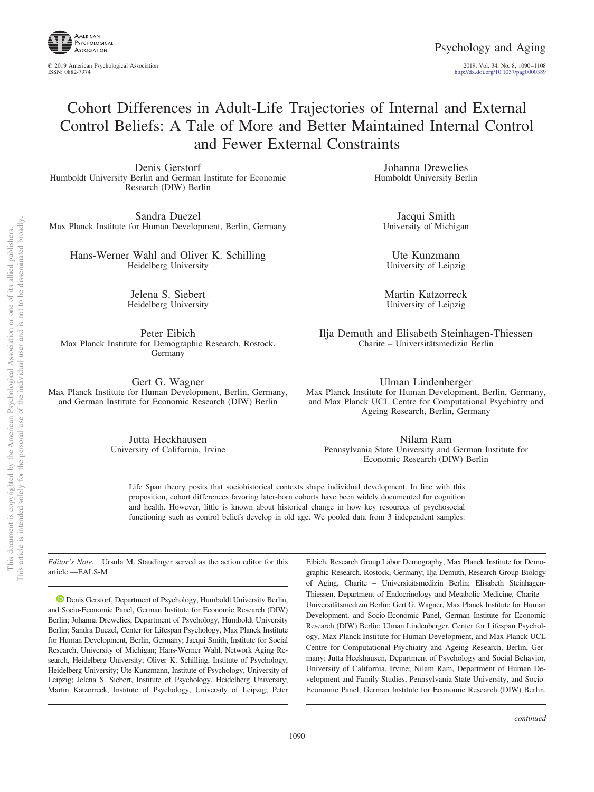

© 2019 American Psychological Association 2019, Vol. 34, No. 8, 1090 –1108

http://dx.doi.org[/10.1037/pag0000389](http://dx.doi.org/10.1037/pag0000389)

# Cohort Differences in Adult-Life Trajectories of Internal and External Control Beliefs: A Tale of More and Better Maintained Internal Control and Fewer External Constraints

Denis Gerstorf Humboldt University Berlin and German Institute for Economic Research (DIW) Berlin

Sandra Duezel Max Planck Institute for Human Development, Berlin, Germany

Hans-Werner Wahl and Oliver K. Schilling Heidelberg University

> Jelena S. Siebert Heidelberg University

Peter Eibich Max Planck Institute for Demographic Research, Rostock, Germany

Gert G. Wagner Max Planck Institute for Human Development, Berlin, Germany, and German Institute for Economic Research (DIW) Berlin

> Jutta Heckhausen University of California, Irvine

Johanna Drewelies Humboldt University Berlin

Jacqui Smith University of Michigan

Ute Kunzmann University of Leipzig

Martin Katzorreck University of Leipzig

Ilja Demuth and Elisabeth Steinhagen-Thiessen Charite – Universitätsmedizin Berlin

Ulman Lindenberger Max Planck Institute for Human Development, Berlin, Germany, and Max Planck UCL Centre for Computational Psychiatry and Ageing Research, Berlin, Germany

Nilam Ram Pennsylvania State University and German Institute for Economic Research (DIW) Berlin

Life Span theory posits that sociohistorical contexts shape individual development. In line with this proposition, cohort differences favoring later-born cohorts have been widely documented for cognition and health. However, little is known about historical change in how key resources of psychosocial functioning such as control beliefs develop in old age. We pooled data from 3 independent samples:

*Editor's Note.* Ursula M. Staudinger served as the action editor for this article.—EALS-M

**D** [Denis Gerstorf,](https://orcid.org/0000-0002-2133-9498) Department of Psychology, Humboldt University Berlin, and Socio-Economic Panel, German Institute for Economic Research (DIW) Berlin; Johanna Drewelies, Department of Psychology, Humboldt University Berlin; Sandra Duezel, Center for Lifespan Psychology, Max Planck Institute for Human Development, Berlin, Germany; Jacqui Smith, Institute for Social Research, University of Michigan; Hans-Werner Wahl, Network Aging Research, Heidelberg University; Oliver K. Schilling, Institute of Psychology, Heidelberg University; Ute Kunzmann, Institute of Psychology, University of Leipzig; Jelena S. Siebert, Institute of Psychology, Heidelberg University; Martin Katzorreck, Institute of Psychology, University of Leipzig; Peter

Eibich, Research Group Labor Demography, Max Planck Institute for Demographic Research, Rostock, Germany; Ilja Demuth, Research Group Biology of Aging, Charite – Universitätsmedizin Berlin; Elisabeth Steinhagen-Thiessen, Department of Endocrinology and Metabolic Medicine, Charite – Universitätsmedizin Berlin; Gert G. Wagner, Max Planck Institute for Human Development, and Socio-Economic Panel, German Institute for Economic Research (DIW) Berlin; Ulman Lindenberger, Center for Lifespan Psychology, Max Planck Institute for Human Development, and Max Planck UCL Centre for Computational Psychiatry and Ageing Research, Berlin, Germany; Jutta Heckhausen, Department of Psychology and Social Behavior, University of California, Irvine; Nilam Ram, Department of Human Development and Family Studies, Pennsylvania State University, and Socio-Economic Panel, German Institute for Economic Research (DIW) Berlin.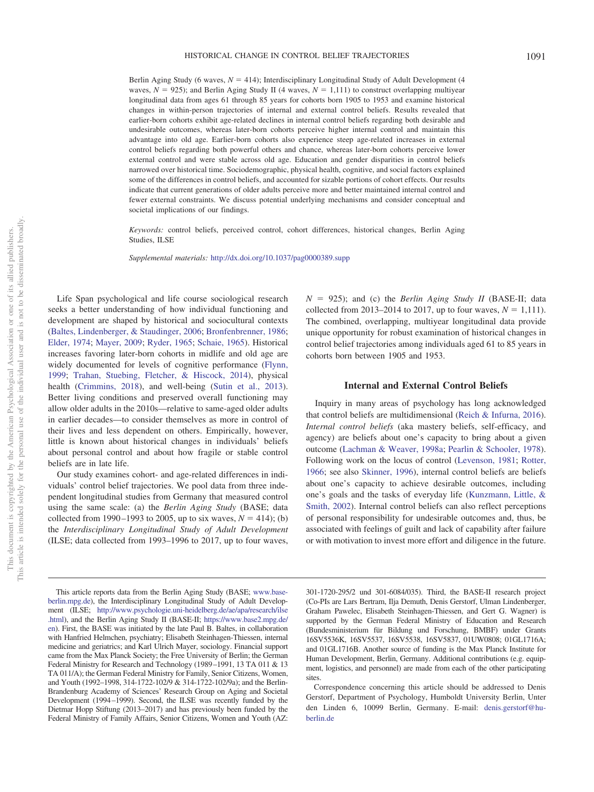Berlin Aging Study (6 waves,  $N = 414$ ); Interdisciplinary Longitudinal Study of Adult Development (4 waves,  $N = 925$ ; and Berlin Aging Study II (4 waves,  $N = 1,111$ ) to construct overlapping multiyear longitudinal data from ages 61 through 85 years for cohorts born 1905 to 1953 and examine historical changes in within-person trajectories of internal and external control beliefs. Results revealed that earlier-born cohorts exhibit age-related declines in internal control beliefs regarding both desirable and undesirable outcomes, whereas later-born cohorts perceive higher internal control and maintain this advantage into old age. Earlier-born cohorts also experience steep age-related increases in external control beliefs regarding both powerful others and chance, whereas later-born cohorts perceive lower external control and were stable across old age. Education and gender disparities in control beliefs narrowed over historical time. Sociodemographic, physical health, cognitive, and social factors explained some of the differences in control beliefs, and accounted for sizable portions of cohort effects. Our results indicate that current generations of older adults perceive more and better maintained internal control and fewer external constraints. We discuss potential underlying mechanisms and consider conceptual and societal implications of our findings.

*Keywords:* control beliefs, perceived control, cohort differences, historical changes, Berlin Aging Studies, **ILSE** 

*Supplemental materials:* http://dx.doi.org/10.1037/pag0000389.supp

Life Span psychological and life course sociological research seeks a better understanding of how individual functioning and development are shaped by historical and sociocultural contexts [\(Baltes, Lindenberger, & Staudinger, 2006;](#page-15-0) [Bronfenbrenner, 1986;](#page-15-1) [Elder, 1974;](#page-15-2) [Mayer, 2009;](#page-17-0) [Ryder, 1965;](#page-17-1) [Schaie, 1965\)](#page-17-2). Historical increases favoring later-born cohorts in midlife and old age are widely documented for levels of cognitive performance [\(Flynn,](#page-15-3) [1999;](#page-15-3) [Trahan, Stuebing, Fletcher, & Hiscock, 2014\)](#page-17-3), physical health [\(Crimmins, 2018\)](#page-15-4), and well-being [\(Sutin et al., 2013\)](#page-17-4). Better living conditions and preserved overall functioning may allow older adults in the 2010s—relative to same-aged older adults in earlier decades—to consider themselves as more in control of their lives and less dependent on others. Empirically, however, little is known about historical changes in individuals' beliefs about personal control and about how fragile or stable control beliefs are in late life.

Our study examines cohort- and age-related differences in individuals' control belief trajectories. We pool data from three independent longitudinal studies from Germany that measured control using the same scale: (a) the *Berlin Aging Study* (BASE; data collected from 1990–1993 to 2005, up to six waves,  $N = 414$ ); (b) the *Interdisciplinary Longitudinal Study of Adult Development* (ILSE; data collected from 1993–1996 to 2017, up to four waves,

 $N = 925$ ; and (c) the *Berlin Aging Study II* (BASE-II; data collected from 2013–2014 to 2017, up to four waves,  $N = 1,111$ . The combined, overlapping, multiyear longitudinal data provide unique opportunity for robust examination of historical changes in control belief trajectories among individuals aged 61 to 85 years in cohorts born between 1905 and 1953.

# **Internal and External Control Beliefs**

Inquiry in many areas of psychology has long acknowledged that control beliefs are multidimensional [\(Reich & Infurna, 2016\)](#page-17-5). *Internal control beliefs* (aka mastery beliefs, self-efficacy, and agency) are beliefs about one's capacity to bring about a given outcome [\(Lachman & Weaver, 1998a;](#page-16-0) [Pearlin & Schooler, 1978\)](#page-17-6). Following work on the locus of control [\(Levenson, 1981;](#page-16-1) [Rotter,](#page-17-7) [1966;](#page-17-7) see also [Skinner, 1996\)](#page-17-8), internal control beliefs are beliefs about one's capacity to achieve desirable outcomes, including one's goals and the tasks of everyday life [\(Kunzmann, Little, &](#page-16-2) [Smith, 2002\)](#page-16-2). Internal control beliefs can also reflect perceptions of personal responsibility for undesirable outcomes and, thus, be associated with feelings of guilt and lack of capability after failure or with motivation to invest more effort and diligence in the future.

301-1720-295/2 und 301-6084/035). Third, the BASE-II research project (Co-PIs are Lars Bertram, Ilja Demuth, Denis Gerstorf, Ulman Lindenberger, Graham Pawelec, Elisabeth Steinhagen-Thiessen, and Gert G. Wagner) is supported by the German Federal Ministry of Education and Research (Bundesministerium für Bildung und Forschung, BMBF) under Grants 16SV5536K, 16SV5537, 16SV5538, 16SV5837, 01UW0808; 01GL1716A; and 01GL1716B. Another source of funding is the Max Planck Institute for Human Development, Berlin, Germany. Additional contributions (e.g. equipment, logistics, and personnel) are made from each of the other participating sites.

Correspondence concerning this article should be addressed to Denis Gerstorf, Department of Psychology, Humboldt University Berlin, Unter den Linden 6, 10099 Berlin, Germany. E-mail: [denis.gerstorf@hu](mailto:denis.gerstorf@hu-berlin.de)[berlin.de](mailto:denis.gerstorf@hu-berlin.de)

This article reports data from the Berlin Aging Study (BASE; [www.base](http://www.base-berlin.mpg.de)[berlin.mpg.de\)](http://www.base-berlin.mpg.de), the Interdisciplinary Longitudinal Study of Adult Development (ILSE; [http://www.psychologie.uni-heidelberg.de/ae/apa/research/ilse](http://www.psychologie.uni-heidelberg.de/ae/apa/research/ilse.html) [.html\)](http://www.psychologie.uni-heidelberg.de/ae/apa/research/ilse.html), and the Berlin Aging Study II (BASE-II; [https://www.base2.mpg.de/](https://www.base2.mpg.de/en) [en\)](https://www.base2.mpg.de/en). First, the BASE was initiated by the late Paul B. Baltes, in collaboration with Hanfried Helmchen, psychiatry; Elisabeth Steinhagen-Thiessen, internal medicine and geriatrics; and Karl Ulrich Mayer, sociology. Financial support came from the Max Planck Society; the Free University of Berlin; the German Federal Ministry for Research and Technology (1989 –1991, 13 TA 011 & 13 TA 011/A); the German Federal Ministry for Family, Senior Citizens, Women, and Youth (1992–1998, 314-1722-102/9 & 314-1722-102/9a); and the Berlin-Brandenburg Academy of Sciences' Research Group on Aging and Societal Development (1994 –1999). Second, the ILSE was recently funded by the Dietmar Hopp Stiftung (2013–2017) and has previously been funded by the Federal Ministry of Family Affairs, Senior Citizens, Women and Youth (AZ: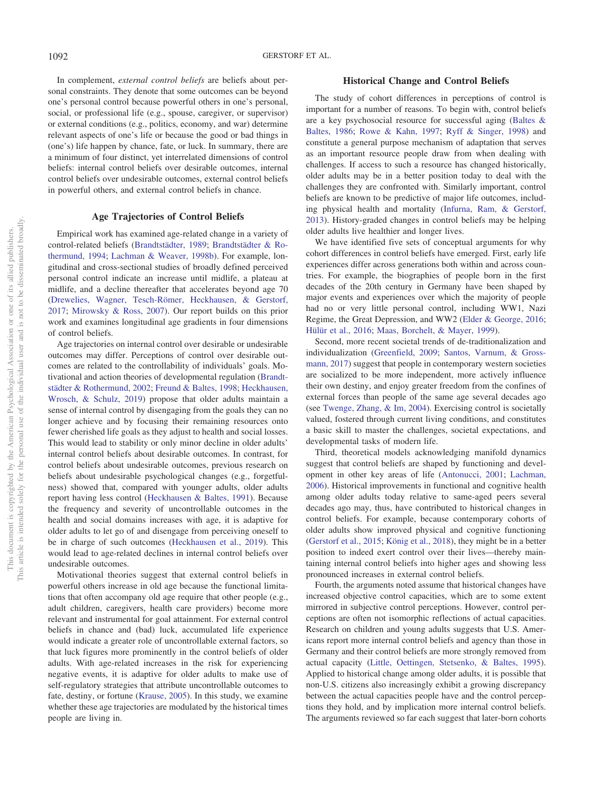In complement, *external control beliefs* are beliefs about personal constraints. They denote that some outcomes can be beyond one's personal control because powerful others in one's personal, social, or professional life (e.g., spouse, caregiver, or supervisor) or external conditions (e.g., politics, economy, and war) determine relevant aspects of one's life or because the good or bad things in (one's) life happen by chance, fate, or luck. In summary, there are a minimum of four distinct, yet interrelated dimensions of control beliefs: internal control beliefs over desirable outcomes, internal control beliefs over undesirable outcomes, external control beliefs in powerful others, and external control beliefs in chance.

## **Age Trajectories of Control Beliefs**

Empirical work has examined age-related change in a variety of control-related beliefs [\(Brandtstädter, 1989;](#page-15-5) [Brandtstädter & Ro](#page-15-6)[thermund, 1994;](#page-15-6) [Lachman & Weaver, 1998b\)](#page-16-3). For example, longitudinal and cross-sectional studies of broadly defined perceived personal control indicate an increase until midlife, a plateau at midlife, and a decline thereafter that accelerates beyond age 70 [\(Drewelies, Wagner, Tesch-Römer, Heckhausen, & Gerstorf,](#page-15-7) [2017;](#page-15-7) [Mirowsky & Ross, 2007\)](#page-17-9). Our report builds on this prior work and examines longitudinal age gradients in four dimensions of control beliefs.

Age trajectories on internal control over desirable or undesirable outcomes may differ. Perceptions of control over desirable outcomes are related to the controllability of individuals' goals. Motivational and action theories of developmental regulation [\(Brandt](#page-15-8)[städter & Rothermund, 2002;](#page-15-8) [Freund & Baltes, 1998;](#page-15-9) [Heckhausen,](#page-16-4) [Wrosch, & Schulz, 2019\)](#page-16-4) propose that older adults maintain a sense of internal control by disengaging from the goals they can no longer achieve and by focusing their remaining resources onto fewer cherished life goals as they adjust to health and social losses. This would lead to stability or only minor decline in older adults' internal control beliefs about desirable outcomes. In contrast, for control beliefs about undesirable outcomes, previous research on beliefs about undesirable psychological changes (e.g., forgetfulness) showed that, compared with younger adults, older adults report having less control [\(Heckhausen & Baltes, 1991\)](#page-16-5). Because the frequency and severity of uncontrollable outcomes in the health and social domains increases with age, it is adaptive for older adults to let go of and disengage from perceiving oneself to be in charge of such outcomes [\(Heckhausen et al., 2019\)](#page-16-4). This would lead to age-related declines in internal control beliefs over undesirable outcomes.

Motivational theories suggest that external control beliefs in powerful others increase in old age because the functional limitations that often accompany old age require that other people (e.g., adult children, caregivers, health care providers) become more relevant and instrumental for goal attainment. For external control beliefs in chance and (bad) luck, accumulated life experience would indicate a greater role of uncontrollable external factors, so that luck figures more prominently in the control beliefs of older adults. With age-related increases in the risk for experiencing negative events, it is adaptive for older adults to make use of self-regulatory strategies that attribute uncontrollable outcomes to fate, destiny, or fortune [\(Krause, 2005\)](#page-16-6). In this study, we examine whether these age trajectories are modulated by the historical times people are living in.

# **Historical Change and Control Beliefs**

The study of cohort differences in perceptions of control is important for a number of reasons. To begin with, control beliefs are a key psychosocial resource for successful aging [\(Baltes &](#page-15-10) [Baltes, 1986;](#page-15-10) [Rowe & Kahn, 1997;](#page-17-10) [Ryff & Singer, 1998\)](#page-17-11) and constitute a general purpose mechanism of adaptation that serves as an important resource people draw from when dealing with challenges. If access to such a resource has changed historically, older adults may be in a better position today to deal with the challenges they are confronted with. Similarly important, control beliefs are known to be predictive of major life outcomes, including physical health and mortality [\(Infurna, Ram, & Gerstorf,](#page-16-7) [2013\)](#page-16-7). History-graded changes in control beliefs may be helping older adults live healthier and longer lives.

We have identified five sets of conceptual arguments for why cohort differences in control beliefs have emerged. First, early life experiences differ across generations both within and across countries. For example, the biographies of people born in the first decades of the 20th century in Germany have been shaped by major events and experiences over which the majority of people had no or very little personal control, including WW1, Nazi Regime, the Great Depression, and WW2 [\(Elder & George, 2016;](#page-15-11) [Hülür et al., 2016;](#page-16-8) [Maas, Borchelt, & Mayer, 1999\)](#page-16-9).

Second, more recent societal trends of de-traditionalization and individualization [\(Greenfield, 2009;](#page-16-10) [Santos, Varnum, & Gross](#page-17-12)[mann, 2017\)](#page-17-12) suggest that people in contemporary western societies are socialized to be more independent, more actively influence their own destiny, and enjoy greater freedom from the confines of external forces than people of the same age several decades ago (see [Twenge, Zhang, & Im, 2004\)](#page-17-13). Exercising control is societally valued, fostered through current living conditions, and constitutes a basic skill to master the challenges, societal expectations, and developmental tasks of modern life.

Third, theoretical models acknowledging manifold dynamics suggest that control beliefs are shaped by functioning and development in other key areas of life [\(Antonucci, 2001;](#page-15-12) [Lachman,](#page-16-11) [2006\)](#page-16-11). Historical improvements in functional and cognitive health among older adults today relative to same-aged peers several decades ago may, thus, have contributed to historical changes in control beliefs. For example, because contemporary cohorts of older adults show improved physical and cognitive functioning [\(Gerstorf et al., 2015;](#page-15-13) [König et al., 2018\)](#page-16-12), they might be in a better position to indeed exert control over their lives—thereby maintaining internal control beliefs into higher ages and showing less pronounced increases in external control beliefs.

Fourth, the arguments noted assume that historical changes have increased objective control capacities, which are to some extent mirrored in subjective control perceptions. However, control perceptions are often not isomorphic reflections of actual capacities. Research on children and young adults suggests that U.S. Americans report more internal control beliefs and agency than those in Germany and their control beliefs are more strongly removed from actual capacity [\(Little, Oettingen, Stetsenko, & Baltes, 1995\)](#page-16-13). Applied to historical change among older adults, it is possible that non-U.S. citizens also increasingly exhibit a growing discrepancy between the actual capacities people have and the control perceptions they hold, and by implication more internal control beliefs. The arguments reviewed so far each suggest that later-born cohorts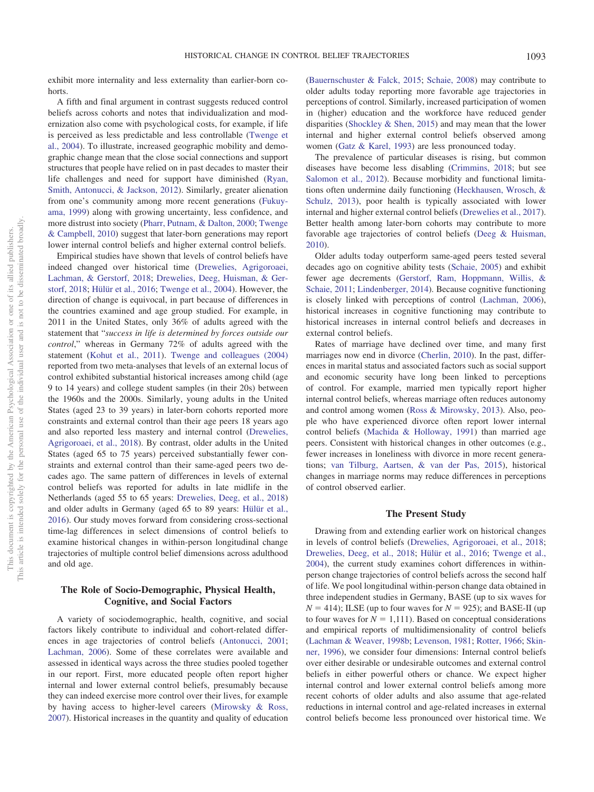exhibit more internality and less externality than earlier-born cohorts.

A fifth and final argument in contrast suggests reduced control beliefs across cohorts and notes that individualization and modernization also come with psychological costs, for example, if life is perceived as less predictable and less controllable [\(Twenge et](#page-17-13) [al., 2004\)](#page-17-13). To illustrate, increased geographic mobility and demographic change mean that the close social connections and support structures that people have relied on in past decades to master their life challenges and need for support have diminished [\(Ryan,](#page-17-14) [Smith, Antonucci, & Jackson, 2012\)](#page-17-14). Similarly, greater alienation from one's community among more recent generations [\(Fukuy](#page-15-14)[ama, 1999\)](#page-15-14) along with growing uncertainty, less confidence, and more distrust into society [\(Pharr, Putnam, & Dalton, 2000;](#page-17-15) [Twenge](#page-17-16) [& Campbell, 2010\)](#page-17-16) suggest that later-born generations may report lower internal control beliefs and higher external control beliefs.

Empirical studies have shown that levels of control beliefs have indeed changed over historical time [\(Drewelies, Agrigoroaei,](#page-15-15) [Lachman, & Gerstorf, 2018;](#page-15-15) [Drewelies, Deeg, Huisman, & Ger](#page-15-16)[storf, 2018;](#page-15-16) [Hülür et al., 2016;](#page-16-8) [Twenge et al., 2004\)](#page-17-13). However, the direction of change is equivocal, in part because of differences in the countries examined and age group studied. For example, in 2011 in the United States, only 36% of adults agreed with the statement that "*success in life is determined by forces outside our control*," whereas in Germany 72% of adults agreed with the statement [\(Kohut et al., 2011\)](#page-16-14). [Twenge and colleagues \(2004\)](#page-17-13) reported from two meta-analyses that levels of an external locus of control exhibited substantial historical increases among child (age 9 to 14 years) and college student samples (in their 20s) between the 1960s and the 2000s. Similarly, young adults in the United States (aged 23 to 39 years) in later-born cohorts reported more constraints and external control than their age peers 18 years ago and also reported less mastery and internal control [\(Drewelies,](#page-15-15) [Agrigoroaei, et al., 2018\)](#page-15-15). By contrast, older adults in the United States (aged 65 to 75 years) perceived substantially fewer constraints and external control than their same-aged peers two decades ago. The same pattern of differences in levels of external control beliefs was reported for adults in late midlife in the Netherlands (aged 55 to 65 years: [Drewelies, Deeg, et al., 2018\)](#page-15-16) and older adults in Germany (aged 65 to 89 years: [Hülür et al.,](#page-16-8) [2016\)](#page-16-8). Our study moves forward from considering cross-sectional time-lag differences in select dimensions of control beliefs to examine historical changes in within-person longitudinal change trajectories of multiple control belief dimensions across adulthood and old age.

# **The Role of Socio-Demographic, Physical Health, Cognitive, and Social Factors**

A variety of sociodemographic, health, cognitive, and social factors likely contribute to individual and cohort-related differences in age trajectories of control beliefs [\(Antonucci, 2001;](#page-15-12) [Lachman, 2006\)](#page-16-11). Some of these correlates were available and assessed in identical ways across the three studies pooled together in our report. First, more educated people often report higher internal and lower external control beliefs, presumably because they can indeed exercise more control over their lives, for example by having access to higher-level careers [\(Mirowsky & Ross,](#page-17-9) [2007\)](#page-17-9). Historical increases in the quantity and quality of education

[\(Bauernschuster & Falck, 2015;](#page-15-17) [Schaie, 2008\)](#page-17-17) may contribute to older adults today reporting more favorable age trajectories in perceptions of control. Similarly, increased participation of women in (higher) education and the workforce have reduced gender disparities [\(Shockley & Shen, 2015\)](#page-17-18) and may mean that the lower internal and higher external control beliefs observed among women [\(Gatz & Karel, 1993\)](#page-15-18) are less pronounced today.

The prevalence of particular diseases is rising, but common diseases have become less disabling [\(Crimmins, 2018;](#page-15-4) but see [Salomon et al., 2012\)](#page-17-19). Because morbidity and functional limitations often undermine daily functioning [\(Heckhausen, Wrosch, &](#page-16-15) [Schulz, 2013\)](#page-16-15), poor health is typically associated with lower internal and higher external control beliefs [\(Drewelies et al., 2017\)](#page-15-7). Better health among later-born cohorts may contribute to more favorable age trajectories of control beliefs [\(Deeg & Huisman,](#page-15-19) [2010\)](#page-15-19).

Older adults today outperform same-aged peers tested several decades ago on cognitive ability tests [\(Schaie, 2005\)](#page-17-20) and exhibit fewer age decrements [\(Gerstorf, Ram, Hoppmann, Willis, &](#page-16-16) [Schaie, 2011;](#page-16-16) [Lindenberger, 2014\)](#page-16-17). Because cognitive functioning is closely linked with perceptions of control [\(Lachman, 2006\)](#page-16-11), historical increases in cognitive functioning may contribute to historical increases in internal control beliefs and decreases in external control beliefs.

Rates of marriage have declined over time, and many first marriages now end in divorce [\(Cherlin, 2010\)](#page-15-20). In the past, differences in marital status and associated factors such as social support and economic security have long been linked to perceptions of control. For example, married men typically report higher internal control beliefs, whereas marriage often reduces autonomy and control among women [\(Ross & Mirowsky, 2013\)](#page-17-21). Also, people who have experienced divorce often report lower internal control beliefs [\(Machida & Holloway, 1991\)](#page-16-18) than married age peers. Consistent with historical changes in other outcomes (e.g., fewer increases in loneliness with divorce in more recent generations; [van Tilburg, Aartsen, & van der Pas, 2015\)](#page-18-0), historical changes in marriage norms may reduce differences in perceptions of control observed earlier.

## **The Present Study**

Drawing from and extending earlier work on historical changes in levels of control beliefs [\(Drewelies, Agrigoroaei, et al., 2018;](#page-15-15) [Drewelies, Deeg, et al., 2018;](#page-15-16) [Hülür et al., 2016;](#page-16-8) [Twenge et al.,](#page-17-13) [2004\)](#page-17-13), the current study examines cohort differences in withinperson change trajectories of control beliefs across the second half of life. We pool longitudinal within-person change data obtained in three independent studies in Germany, BASE (up to six waves for  $N = 414$ ); ILSE (up to four waves for  $N = 925$ ); and BASE-II (up to four waves for  $N = 1,111$ ). Based on conceptual considerations and empirical reports of multidimensionality of control beliefs [\(Lachman & Weaver, 1998b;](#page-16-3) [Levenson, 1981;](#page-16-1) [Rotter, 1966;](#page-17-7) [Skin](#page-17-8)[ner, 1996\)](#page-17-8), we consider four dimensions: Internal control beliefs over either desirable or undesirable outcomes and external control beliefs in either powerful others or chance. We expect higher internal control and lower external control beliefs among more recent cohorts of older adults and also assume that age-related reductions in internal control and age-related increases in external control beliefs become less pronounced over historical time. We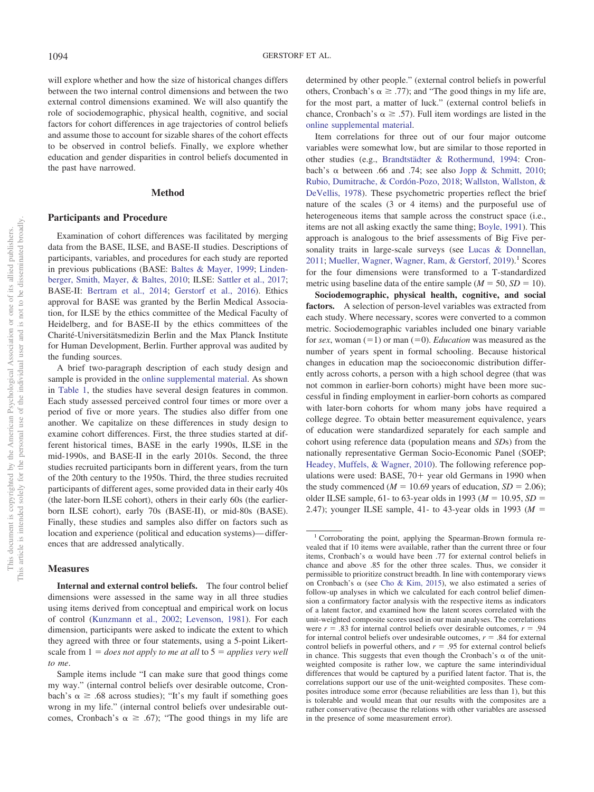will explore whether and how the size of historical changes differs between the two internal control dimensions and between the two external control dimensions examined. We will also quantify the role of sociodemographic, physical health, cognitive, and social factors for cohort differences in age trajectories of control beliefs and assume those to account for sizable shares of the cohort effects to be observed in control beliefs. Finally, we explore whether education and gender disparities in control beliefs documented in the past have narrowed.

## **Method**

#### **Participants and Procedure**

Examination of cohort differences was facilitated by merging data from the BASE, ILSE, and BASE-II studies. Descriptions of participants, variables, and procedures for each study are reported in previous publications (BASE: [Baltes & Mayer, 1999;](#page-15-21) [Linden](#page-16-19)[berger, Smith, Mayer, & Baltes, 2010;](#page-16-19) ILSE: [Sattler et al., 2017;](#page-17-22) BASE-II: [Bertram et al., 2014;](#page-15-22) [Gerstorf et al., 2016\)](#page-15-23). Ethics approval for BASE was granted by the Berlin Medical Association, for ILSE by the ethics committee of the Medical Faculty of Heidelberg, and for BASE-II by the ethics committees of the Charité-Universitätsmedizin Berlin and the Max Planck Institute for Human Development, Berlin. Further approval was audited by the funding sources.

A brief two-paragraph description of each study design and sample is provided in the [online supplemental material.](http://dx.doi.org/10.1037/pag0000389.supp) As shown in [Table 1,](#page-5-0) the studies have several design features in common. Each study assessed perceived control four times or more over a period of five or more years. The studies also differ from one another. We capitalize on these differences in study design to examine cohort differences. First, the three studies started at different historical times, BASE in the early 1990s, ILSE in the mid-1990s, and BASE-II in the early 2010s. Second, the three studies recruited participants born in different years, from the turn of the 20th century to the 1950s. Third, the three studies recruited participants of different ages, some provided data in their early 40s (the later-born ILSE cohort), others in their early 60s (the earlierborn ILSE cohort), early 70s (BASE-II), or mid-80s (BASE). Finally, these studies and samples also differ on factors such as location and experience (political and education systems)— differences that are addressed analytically.

#### **Measures**

**Internal and external control beliefs.** The four control belief dimensions were assessed in the same way in all three studies using items derived from conceptual and empirical work on locus of control [\(Kunzmann et al., 2002;](#page-16-2) [Levenson, 1981\)](#page-16-1). For each dimension, participants were asked to indicate the extent to which they agreed with three or four statements, using a 5-point Likertscale from  $1 =$  *does not apply to me at all* to  $5 =$  *applies very well to me*.

determined by other people." (external control beliefs in powerful others, Cronbach's  $\alpha \geq .77$ ); and "The good things in my life are, for the most part, a matter of luck." (external control beliefs in chance, Cronbach's  $\alpha \geq .57$ ). Full item wordings are listed in the [online supplemental material.](http://dx.doi.org/10.1037/pag0000389.supp)

Item correlations for three out of our four major outcome variables were somewhat low, but are similar to those reported in other studies (e.g., [Brandtstädter & Rothermund, 1994:](#page-15-6) Cronbach's  $\alpha$  between .66 and .74; see also [Jopp & Schmitt, 2010;](#page-16-20) [Rubio, Dumitrache, & Cordón-Pozo, 2018;](#page-17-23) [Wallston, Wallston, &](#page-18-1) [DeVellis, 1978\)](#page-18-1). These psychometric properties reflect the brief nature of the scales (3 or 4 items) and the purposeful use of heterogeneous items that sample across the construct space (i.e., items are not all asking exactly the same thing; [Boyle, 1991\)](#page-15-24). This approach is analogous to the brief assessments of Big Five per-sonality traits in large-scale surveys (see [Lucas & Donnellan,](#page-16-21) [2011;](#page-16-21) [Mueller, Wagner, Wagner, Ram, & Gerstorf, 2019\)](#page-17-24).<sup>1</sup> Scores for the four dimensions were transformed to a T-standardized metric using baseline data of the entire sample  $(M = 50, SD = 10)$ .

**Sociodemographic, physical health, cognitive, and social factors.** A selection of person-level variables was extracted from each study. Where necessary, scores were converted to a common metric. Sociodemographic variables included one binary variable for *sex*, woman  $(=1)$  or man  $(=0)$ . *Education* was measured as the number of years spent in formal schooling. Because historical changes in education map the socioeconomic distribution differently across cohorts, a person with a high school degree (that was not common in earlier-born cohorts) might have been more successful in finding employment in earlier-born cohorts as compared with later-born cohorts for whom many jobs have required a college degree. To obtain better measurement equivalence, years of education were standardized separately for each sample and cohort using reference data (population means and *SD*s) from the nationally representative German Socio-Economic Panel (SOEP; [Headey, Muffels, & Wagner, 2010\)](#page-16-22). The following reference populations were used: BASE,  $70+$  year old Germans in 1990 when the study commenced ( $M = 10.69$  years of education,  $SD = 2.06$ ); older ILSE sample, 61- to 63-year olds in 1993 ( $M = 10.95$ ,  $SD =$ 2.47); younger ILSE sample, 41- to 43-year olds in 1993 ( $M =$ 

Sample items include "I can make sure that good things come my way." (internal control beliefs over desirable outcome, Cronbach's  $\alpha \geq .68$  across studies); "It's my fault if something goes wrong in my life." (internal control beliefs over undesirable outcomes, Cronbach's  $\alpha \geq .67$ ); "The good things in my life are

<sup>&</sup>lt;sup>1</sup> Corroborating the point, applying the Spearman-Brown formula revealed that if 10 items were available, rather than the current three or four items, Cronbach's  $\alpha$  would have been .77 for external control beliefs in chance and above .85 for the other three scales. Thus, we consider it permissible to prioritize construct breadth. In line with contemporary views on Cronbach's  $\alpha$  (see [Cho & Kim, 2015\)](#page-15-25), we also estimated a series of follow-up analyses in which we calculated for each control belief dimension a confirmatory factor analysis with the respective items as indicators of a latent factor, and examined how the latent scores correlated with the unit-weighted composite scores used in our main analyses. The correlations were  $r = .83$  for internal control beliefs over desirable outcomes,  $r = .94$ for internal control beliefs over undesirable outcomes,  $r = .84$  for external control beliefs in powerful others, and  $r = .95$  for external control beliefs in chance. This suggests that even though the Cronbach's  $\alpha$  of the unitweighted composite is rather low, we capture the same interindividual differences that would be captured by a purified latent factor. That is, the correlations support our use of the unit-weighted composites. These composites introduce some error (because reliabilities are less than 1), but this is tolerable and would mean that our results with the composites are a rather conservative (because the relations with other variables are assessed in the presence of some measurement error).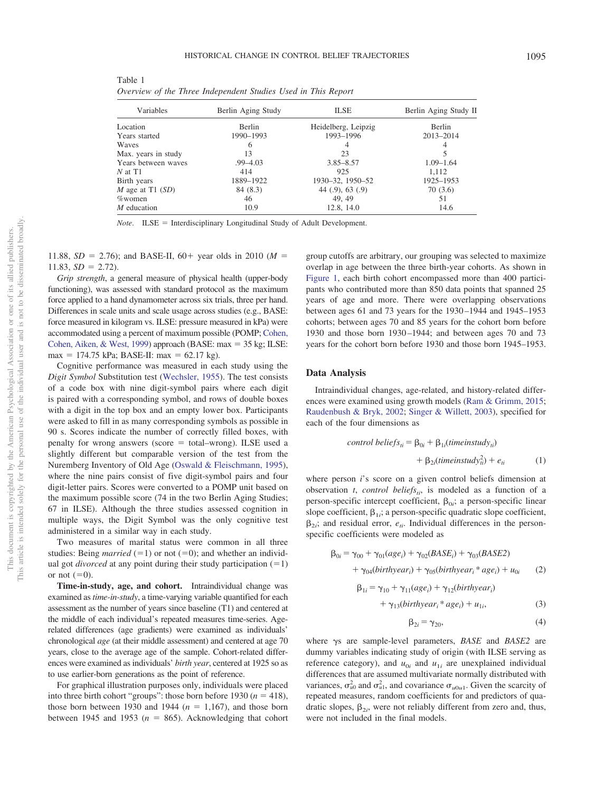<span id="page-5-0"></span>Table 1 *Overview of the Three Independent Studies Used in This Report*

| Variables           | Berlin Aging Study | <b>ILSE</b>         | Berlin Aging Study II |
|---------------------|--------------------|---------------------|-----------------------|
| Location            | <b>Berlin</b>      | Heidelberg, Leipzig | Berlin                |
| Years started       | 1990-1993          | 1993-1996           | 2013-2014             |
| Waves               | 6                  | 4                   |                       |
| Max. years in study | 13                 | 23                  |                       |
| Years between waves | $.99 - 4.03$       | $3.85 - 8.57$       | $1.09 - 1.64$         |
| $N$ at T1           | 414                | 925                 | 1.112                 |
| Birth years         | 1889-1922          | 1930-32, 1950-52    | 1925-1953             |
| M age at T1 $(SD)$  | 84 (8.3)           | $44$ (.9), 63 (.9)  | 70 (3.6)              |
| $%$ women           | 46                 | 49.49               | 51                    |
| $M$ education       | 10.9               | 12.8, 14.0          | 14.6                  |

*Note*. ILSE = Interdisciplinary Longitudinal Study of Adult Development.

11.88,  $SD = 2.76$ ; and BASE-II,  $60 +$  year olds in 2010 ( $M =$  $11.83, SD = 2.72$ .

*Grip strength*, a general measure of physical health (upper-body functioning), was assessed with standard protocol as the maximum force applied to a hand dynamometer across six trials, three per hand. Differences in scale units and scale usage across studies (e.g., BASE: force measured in kilogram vs. ILSE: pressure measured in kPa) were accommodated using a percent of maximum possible (POMP; [Cohen,](#page-15-26) [Cohen, Aiken, & West, 1999\)](#page-15-26) approach (BASE:  $max = 35$  kg; ILSE:  $max = 174.75$  kPa; BASE-II:  $max = 62.17$  kg).

Cognitive performance was measured in each study using the *Digit Symbol* Substitution test [\(Wechsler, 1955\)](#page-18-2). The test consists of a code box with nine digit-symbol pairs where each digit is paired with a corresponding symbol, and rows of double boxes with a digit in the top box and an empty lower box. Participants were asked to fill in as many corresponding symbols as possible in 90 s. Scores indicate the number of correctly filled boxes, with penalty for wrong answers (score = total–wrong). ILSE used a slightly different but comparable version of the test from the Nuremberg Inventory of Old Age [\(Oswald & Fleischmann, 1995\)](#page-17-25), where the nine pairs consist of five digit-symbol pairs and four digit-letter pairs. Scores were converted to a POMP unit based on the maximum possible score (74 in the two Berlin Aging Studies; 67 in ILSE). Although the three studies assessed cognition in multiple ways, the Digit Symbol was the only cognitive test administered in a similar way in each study.

Two measures of marital status were common in all three studies: Being *married*  $(=1)$  or not  $(=0)$ ; and whether an individual got *divorced* at any point during their study participation  $(=1)$ or not  $(=0)$ .

**Time-in-study, age, and cohort.** Intraindividual change was examined as *time-in-study*, a time-varying variable quantified for each assessment as the number of years since baseline (T1) and centered at the middle of each individual's repeated measures time-series. Agerelated differences (age gradients) were examined as individuals' chronological *age* (at their middle assessment) and centered at age 70 years, close to the average age of the sample. Cohort-related differences were examined as individuals' *birth year*, centered at 1925 so as to use earlier-born generations as the point of reference.

For graphical illustration purposes only, individuals were placed into three birth cohort "groups": those born before  $1930 (n = 418)$ , those born between 1930 and 1944  $(n = 1,167)$ , and those born between 1945 and 1953  $(n = 865)$ . Acknowledging that cohort group cutoffs are arbitrary, our grouping was selected to maximize overlap in age between the three birth-year cohorts. As shown in [Figure 1,](#page-6-0) each birth cohort encompassed more than 400 participants who contributed more than 850 data points that spanned 25 years of age and more. There were overlapping observations between ages 61 and 73 years for the 1930 –1944 and 1945–1953 cohorts; between ages 70 and 85 years for the cohort born before 1930 and those born 1930 –1944; and between ages 70 and 73 years for the cohort born before 1930 and those born 1945–1953.

# **Data Analysis**

Intraindividual changes, age-related, and history-related differences were examined using growth models [\(Ram & Grimm, 2015;](#page-17-26) [Raudenbush & Bryk, 2002;](#page-17-27) [Singer & Willett, 2003\)](#page-17-28), specified for each of the four dimensions as

control belief
$$
s_{ii} = \beta_{0i} + \beta_{1i}(timeinstudy_{ii})
$$
  
+  $\beta_{2i}(timeinstudy_{ii}^2) + e_{ii}$  (1)

where person *i*'s score on a given control beliefs dimension at observation  $t$ , *control beliefs<sub>ti</sub>*, is modeled as a function of a person-specific intercept coefficient,  $\beta_{0i}$ ; a person-specific linear slope coefficient,  $\beta_{1i}$ ; a person-specific quadratic slope coefficient,  $\beta_{2i}$ ; and residual error,  $e_{ti}$ . Individual differences in the personspecific coefficients were modeled as

$$
\beta_{0i} = \gamma_{00} + \gamma_{01}(age_i) + \gamma_{02}(BASE_i) + \gamma_{03}(BASE2)
$$
  
+ 
$$
\gamma_{04}(birthyear_i) + \gamma_{05}(birthyear_i * age_i) + u_{0i}
$$
 (2)

$$
\beta_{1i} = \gamma_{10} + \gamma_{11}(age_i) + \gamma_{12}(birthyear_i)
$$

$$
+\gamma_{13}(birthyear_i * age_i) + u_{1i},\tag{3}
$$

$$
\beta_{2i} = \gamma_{20},\tag{4}
$$

where  $\gamma s$  are sample-level parameters, *BASE* and *BASE2* are dummy variables indicating study of origin (with ILSE serving as reference category), and  $u_{0i}$  and  $u_{1i}$  are unexplained individual differences that are assumed multivariate normally distributed with variances,  $\sigma_{u0}^2$  and  $\sigma_{u1}^2$ , and covariance  $\sigma_{u0u1}$ . Given the scarcity of repeated measures, random coefficients for and predictors of quadratic slopes,  $\beta_{2i}$ , were not reliably different from zero and, thus, were not included in the final models.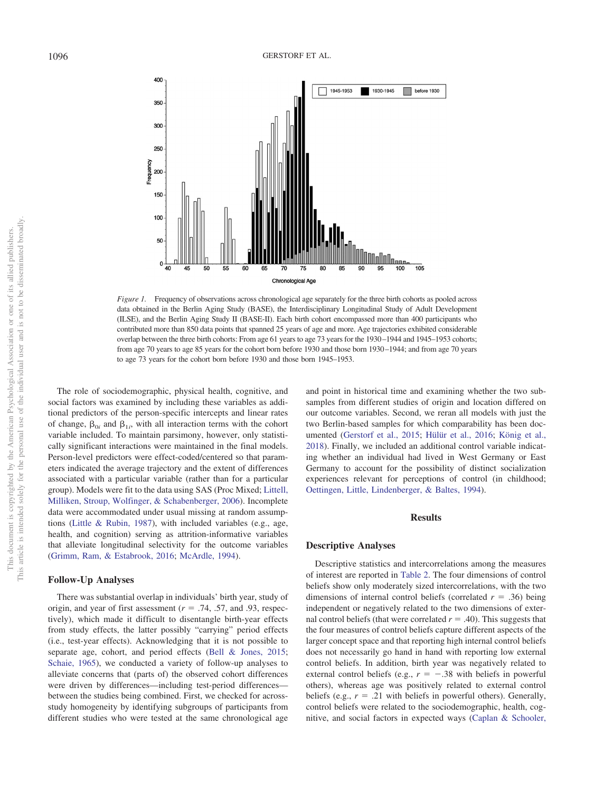

<span id="page-6-0"></span>*Figure 1.* Frequency of observations across chronological age separately for the three birth cohorts as pooled across data obtained in the Berlin Aging Study (BASE), the Interdisciplinary Longitudinal Study of Adult Development (ILSE), and the Berlin Aging Study II (BASE-II). Each birth cohort encompassed more than 400 participants who contributed more than 850 data points that spanned 25 years of age and more. Age trajectories exhibited considerable overlap between the three birth cohorts: From age 61 years to age 73 years for the 1930 –1944 and 1945–1953 cohorts; from age 70 years to age 85 years for the cohort born before 1930 and those born 1930 –1944; and from age 70 years to age 73 years for the cohort born before 1930 and those born 1945–1953.

The role of sociodemographic, physical health, cognitive, and social factors was examined by including these variables as additional predictors of the person-specific intercepts and linear rates of change,  $\beta_{0i}$  and  $\beta_{1i}$ , with all interaction terms with the cohort variable included. To maintain parsimony, however, only statistically significant interactions were maintained in the final models. Person-level predictors were effect-coded/centered so that parameters indicated the average trajectory and the extent of differences associated with a particular variable (rather than for a particular group). Models were fit to the data using SAS (Proc Mixed; [Littell,](#page-16-23) [Milliken, Stroup, Wolfinger, & Schabenberger, 2006\)](#page-16-23). Incomplete data were accommodated under usual missing at random assumptions [\(Little & Rubin, 1987\)](#page-16-24), with included variables (e.g., age, health, and cognition) serving as attrition-informative variables that alleviate longitudinal selectivity for the outcome variables [\(Grimm, Ram, & Estabrook, 2016;](#page-16-25) [McArdle, 1994\)](#page-17-29).

#### **Follow-Up Analyses**

There was substantial overlap in individuals' birth year, study of origin, and year of first assessment  $(r = .74, .57, )$  and 0.93, respectively), which made it difficult to disentangle birth-year effects from study effects, the latter possibly "carrying" period effects (i.e., test-year effects). Acknowledging that it is not possible to separate age, cohort, and period effects [\(Bell & Jones, 2015;](#page-15-27) [Schaie, 1965\)](#page-17-2), we conducted a variety of follow-up analyses to alleviate concerns that (parts of) the observed cohort differences were driven by differences—including test-period differences between the studies being combined. First, we checked for acrossstudy homogeneity by identifying subgroups of participants from different studies who were tested at the same chronological age

and point in historical time and examining whether the two subsamples from different studies of origin and location differed on our outcome variables. Second, we reran all models with just the two Berlin-based samples for which comparability has been documented [\(Gerstorf et al., 2015;](#page-15-13) [Hülür et al., 2016;](#page-16-8) [König et al.,](#page-16-12) [2018\)](#page-16-12). Finally, we included an additional control variable indicating whether an individual had lived in West Germany or East Germany to account for the possibility of distinct socialization experiences relevant for perceptions of control (in childhood; [Oettingen, Little, Lindenberger, & Baltes, 1994\)](#page-17-30).

# **Results**

#### **Descriptive Analyses**

Descriptive statistics and intercorrelations among the measures of interest are reported in [Table 2.](#page-7-0) The four dimensions of control beliefs show only moderately sized intercorrelations, with the two dimensions of internal control beliefs (correlated  $r = .36$ ) being independent or negatively related to the two dimensions of external control beliefs (that were correlated  $r = .40$ ). This suggests that the four measures of control beliefs capture different aspects of the larger concept space and that reporting high internal control beliefs does not necessarily go hand in hand with reporting low external control beliefs. In addition, birth year was negatively related to external control beliefs (e.g.,  $r = -.38$  with beliefs in powerful others), whereas age was positively related to external control beliefs (e.g.,  $r = .21$  with beliefs in powerful others). Generally, control beliefs were related to the sociodemographic, health, cognitive, and social factors in expected ways [\(Caplan & Schooler,](#page-15-28)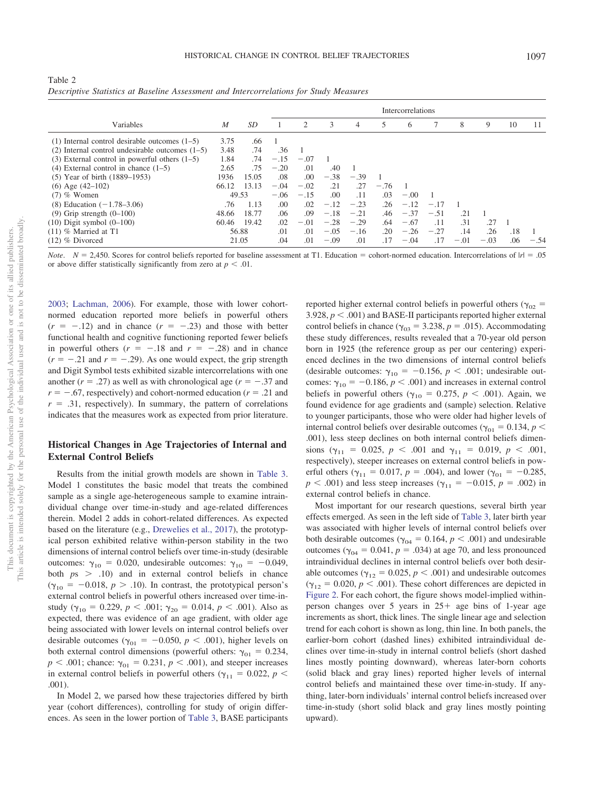<span id="page-7-0"></span>

| Table 2                                                                                |  |  |  |  |
|----------------------------------------------------------------------------------------|--|--|--|--|
| Descriptive Statistics at Baseline Assessment and Intercorrelations for Study Measures |  |  |  |  |

|                                                     |                  |       | <b>Intercorrelations</b> |        |        |        |        |        |        |        |        |     |        |
|-----------------------------------------------------|------------------|-------|--------------------------|--------|--------|--------|--------|--------|--------|--------|--------|-----|--------|
| Variables                                           | $\boldsymbol{M}$ | SD    |                          | 2      | 3      | 4      | 5      | 6      |        | 8      | 9      | 10  | 11     |
| $(1)$ Internal control desirable outcomes $(1-5)$   | 3.75             | .66   |                          |        |        |        |        |        |        |        |        |     |        |
| $(2)$ Internal control undesirable outcomes $(1-5)$ | 3.48             | .74   | .36                      |        |        |        |        |        |        |        |        |     |        |
| $(3)$ External control in powerful others $(1-5)$   | 1.84             | .74   | $-.15$                   | $-.07$ |        |        |        |        |        |        |        |     |        |
| $(4)$ External control in chance $(1-5)$            | 2.65             | .75   | $-.20$                   | .01    | .40    |        |        |        |        |        |        |     |        |
| $(5)$ Year of birth $(1889-1953)$                   | 1936             | 15.05 | .08                      | .00    | $-.38$ | $-.39$ |        |        |        |        |        |     |        |
| $(6)$ Age $(42-102)$                                | 66.12            | 13.13 | $-.04$                   | $-.02$ | .21    | .27    | $-.76$ |        |        |        |        |     |        |
| $(7)$ % Women                                       | 49.53            |       | $-.06$                   | $-.15$ | .00.   | .11    | .03    | $-.00$ |        |        |        |     |        |
| $(8)$ Education $(-1.78-3.06)$                      | .76              | 1.13  | .00                      | .02    | $-.12$ | $-.23$ | .26    | $-.12$ | $-.17$ |        |        |     |        |
| $(9)$ Grip strength $(0-100)$                       | 48.66            | 18.77 | .06                      | .09    | $-.18$ | $-.21$ | .46    | $-.37$ | $-.51$ | .21    |        |     |        |
| $(10)$ Digit symbol $(0-100)$                       | 60.46            | 19.42 | .02                      | $-.01$ | $-.28$ | $-.29$ | .64    | $-.67$ | .11    | .31    | .27    |     |        |
| $(11)$ % Married at T1                              | 56.88            |       | .01                      | .01    | $-.05$ | $-.16$ | .20    | $-.26$ | $-.27$ | .14    | .26    | .18 |        |
| $(12)$ % Divorced                                   | 21.05            |       | .04                      | .01    | $-.09$ | .01    | .17    | $-.04$ | .17    | $-.01$ | $-.03$ | .06 | $-.54$ |

*Note.*  $N = 2,450$ . Scores for control beliefs reported for baseline assessment at T1. Education = cohort-normed education. Intercorrelations of  $|r| = .05$ or above differ statistically significantly from zero at  $p < .01$ .

[2003;](#page-15-28) [Lachman, 2006\)](#page-16-11). For example, those with lower cohortnormed education reported more beliefs in powerful others  $(r = -12)$  and in chance  $(r = -23)$  and those with better functional health and cognitive functioning reported fewer beliefs in powerful others  $(r = -.18$  and  $r = -.28)$  and in chance  $(r = -.21$  and  $r = -.29$ ). As one would expect, the grip strength and Digit Symbol tests exhibited sizable intercorrelations with one another  $(r = .27)$  as well as with chronological age  $(r = -.37)$  and  $r = -.67$ , respectively) and cohort-normed education ( $r = .21$  and  $r = .31$ , respectively). In summary, the pattern of correlations indicates that the measures work as expected from prior literature.

# **Historical Changes in Age Trajectories of Internal and External Control Beliefs**

Results from the initial growth models are shown in [Table 3.](#page-8-0) Model 1 constitutes the basic model that treats the combined sample as a single age-heterogeneous sample to examine intraindividual change over time-in-study and age-related differences therein. Model 2 adds in cohort-related differences. As expected based on the literature (e.g., [Drewelies et al., 2017\)](#page-15-7), the prototypical person exhibited relative within-person stability in the two dimensions of internal control beliefs over time-in-study (desirable outcomes:  $\gamma_{10} = 0.020$ , undesirable outcomes:  $\gamma_{10} = -0.049$ , both  $p_s$   $>$  .10) and in external control beliefs in chance  $(\gamma_{10} = -0.018, p > .10)$ . In contrast, the prototypical person's external control beliefs in powerful others increased over time-instudy ( $\gamma_{10} = 0.229$ ,  $p < .001$ ;  $\gamma_{20} = 0.014$ ,  $p < .001$ ). Also as expected, there was evidence of an age gradient, with older age being associated with lower levels on internal control beliefs over desirable outcomes ( $\gamma_{01} = -0.050, p < .001$ ), higher levels on both external control dimensions (powerful others:  $\gamma_{01} = 0.234$ ,  $p < .001$ ; chance:  $\gamma_{01} = 0.231$ ,  $p < .001$ ), and steeper increases in external control beliefs in powerful others ( $\gamma_{11} = 0.022$ , *p* < .001).

In Model 2, we parsed how these trajectories differed by birth year (cohort differences), controlling for study of origin differences. As seen in the lower portion of [Table 3,](#page-8-0) BASE participants

reported higher external control beliefs in powerful others ( $\gamma_{02}$  =  $3.928, p < .001$ ) and BASE-II participants reported higher external control beliefs in chance ( $\gamma_{03} = 3.238$ ,  $p = .015$ ). Accommodating these study differences, results revealed that a 70-year old person born in 1925 (the reference group as per our centering) experienced declines in the two dimensions of internal control beliefs (desirable outcomes:  $\gamma_{10} = -0.156$ ,  $p < .001$ ; undesirable outcomes:  $\gamma_{10} = -0.186$ ,  $p < .001$ ) and increases in external control beliefs in powerful others ( $\gamma_{10} = 0.275$ ,  $p < .001$ ). Again, we found evidence for age gradients and (sample) selection. Relative to younger participants, those who were older had higher levels of internal control beliefs over desirable outcomes ( $\gamma_{01} = 0.134$ , *p* < .001), less steep declines on both internal control beliefs dimensions ( $\gamma_{11} = 0.025$ ,  $p < .001$  and  $\gamma_{11} = 0.019$ ,  $p < .001$ , respectively), steeper increases on external control beliefs in powerful others ( $\gamma_{11} = 0.017$ ,  $p = .004$ ), and lower ( $\gamma_{01} = -0.285$ ,  $p < .001$ ) and less steep increases ( $\gamma_{11} = -0.015$ ,  $p = .002$ ) in external control beliefs in chance.

Most important for our research questions, several birth year effects emerged. As seen in the left side of [Table 3,](#page-8-0) later birth year was associated with higher levels of internal control beliefs over both desirable outcomes ( $\gamma_{04} = 0.164$ ,  $p < .001$ ) and undesirable outcomes ( $\gamma_{04} = 0.041$ ,  $p = .034$ ) at age 70, and less pronounced intraindividual declines in internal control beliefs over both desirable outcomes ( $\gamma_{12} = 0.025$ ,  $p < .001$ ) and undesirable outcomes  $(\gamma_{12} = 0.020, p < .001)$ . These cohort differences are depicted in [Figure 2.](#page-9-0) For each cohort, the figure shows model-implied withinperson changes over 5 years in  $25+$  age bins of 1-year age increments as short, thick lines. The single linear age and selection trend for each cohort is shown as long, thin line. In both panels, the earlier-born cohort (dashed lines) exhibited intraindividual declines over time-in-study in internal control beliefs (short dashed lines mostly pointing downward), whereas later-born cohorts (solid black and gray lines) reported higher levels of internal control beliefs and maintained these over time-in-study. If anything, later-born individuals' internal control beliefs increased over time-in-study (short solid black and gray lines mostly pointing upward).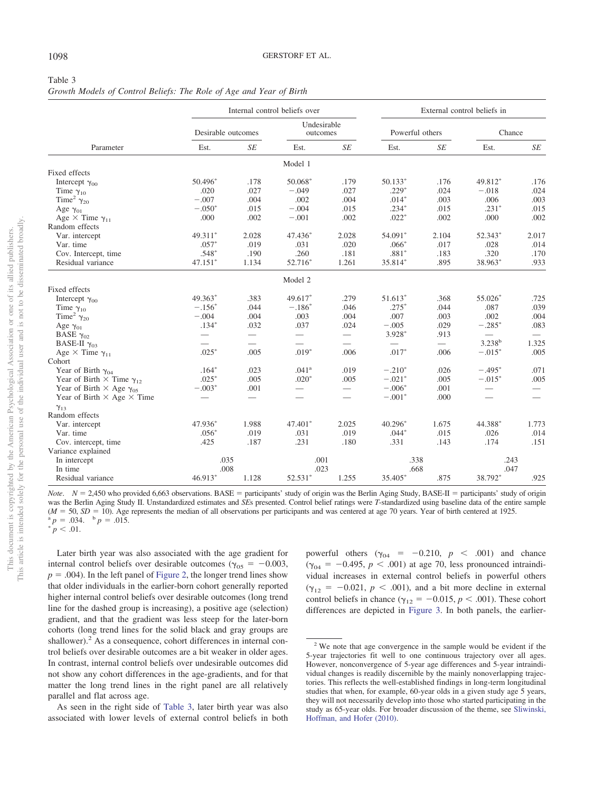# <span id="page-8-0"></span>Table 3

| Growth Models of Control Beliefs: The Role of Age and Year of Birth |  |  |  |  |  |
|---------------------------------------------------------------------|--|--|--|--|--|
|                                                                     |  |  |  |  |  |

|                                           | Internal control beliefs over |                    |                          |                          |                 |              | External control beliefs in |                          |  |  |  |
|-------------------------------------------|-------------------------------|--------------------|--------------------------|--------------------------|-----------------|--------------|-----------------------------|--------------------------|--|--|--|
|                                           |                               | Desirable outcomes |                          | Undesirable<br>outcomes  | Powerful others |              | Chance                      |                          |  |  |  |
| Parameter                                 | Est.                          | <b>SE</b>          | Est.                     | <b>SE</b>                | Est.            | <b>SE</b>    | Est.                        | SE                       |  |  |  |
|                                           |                               |                    | Model 1                  |                          |                 |              |                             |                          |  |  |  |
| Fixed effects                             |                               |                    |                          |                          |                 |              |                             |                          |  |  |  |
| Intercept $\gamma_{00}$                   | 50.496*                       | .178               | 50.068*                  | .179                     | $50.133*$       | .176         | 49.812*                     | .176                     |  |  |  |
| Time $\gamma_{10}$                        | .020                          | .027               | $-.049$                  | .027                     | $.229*$         | .024         | $-.018$                     | .024                     |  |  |  |
| Time <sup>2</sup> $\gamma_{20}$           | $-.007$                       | .004               | .002                     | .004                     | $.014*$         | .003         | .006                        | .003                     |  |  |  |
| Age $\gamma_{01}$                         | $-.050*$                      | .015               | $-.004$                  | .015                     | $.234*$         | .015         | $.231*$                     | .015                     |  |  |  |
| Age $\times$ Time $\gamma_{11}$           | .000                          | .002               | $-.001$                  | .002                     | $.022*$         | .002         | .000                        | .002                     |  |  |  |
| Random effects                            |                               |                    |                          |                          |                 |              |                             |                          |  |  |  |
| Var. intercept                            | 49.311*                       | 2.028              | 47.436*                  | 2.028                    | 54.091*         | 2.104        | 52.343*                     | 2.017                    |  |  |  |
| Var. time                                 | $.057*$                       | .019               | .031                     | .020                     | $.066*$         | .017         | .028                        | .014                     |  |  |  |
| Cov. Intercept, time                      | $.548*$                       | .190               | .260                     | .181                     | $.881*$         | .183         | .320                        | .170                     |  |  |  |
| Residual variance                         | $47.151*$                     | 1.134              | 52.716*                  | 1.261                    | 35.814*         | .895         | 38.963*                     | .933                     |  |  |  |
|                                           |                               |                    | Model 2                  |                          |                 |              |                             |                          |  |  |  |
| Fixed effects                             |                               |                    |                          |                          |                 |              |                             |                          |  |  |  |
| Intercept $\gamma_{00}$                   | 49.363*                       | .383               | 49.617*                  | .279                     | 51.613*         | .368         | 55.026*                     | .725                     |  |  |  |
| Time $\gamma_{10}$                        | $-.156*$                      | .044               | $-.186*$                 | .046                     | $.275*$         | .044         | .087                        | .039                     |  |  |  |
| Time <sup>2</sup> $\gamma_{20}$           | $-.004$                       | .004               | .003                     | .004                     | .007            | .003         | .002                        | .004                     |  |  |  |
| Age $\gamma_{01}$                         | $.134*$                       | .032               | .037                     | .024                     | $-.005$         | .029         | $-.285*$                    | .083                     |  |  |  |
| BASE $\gamma_{02}$                        |                               | $\equiv$           | $\qquad \qquad$          | $\equiv$                 | $3.928*$        | .913         |                             | $\overline{\phantom{m}}$ |  |  |  |
| BASE-II $\gamma_{03}$                     | $\overline{\phantom{0}}$      |                    |                          |                          |                 |              | $3.238^{b}$                 | 1.325                    |  |  |  |
| Age $\times$ Time $\gamma_{11}$           | $.025*$                       | .005               | $.019*$                  | .006                     | $.017*$         | .006         | $-.015*$                    | .005                     |  |  |  |
| Cohort                                    |                               |                    |                          |                          |                 |              |                             |                          |  |  |  |
| Year of Birth $\gamma_{04}$               | $.164*$                       | .023               | .041 <sup>a</sup>        | .019                     | $-.210*$        | .026         | $-.495*$                    | .071                     |  |  |  |
| Year of Birth $\times$ Time $\gamma_{12}$ | $.025*$                       | .005               | $.020*$                  | .005                     | $-.021*$        | .005         | $-.015*$                    | .005                     |  |  |  |
| Year of Birth $\times$ Age $\gamma_{05}$  | $-.003*$                      | .001               | $\overline{\phantom{0}}$ | $\overline{\phantom{m}}$ | $-.006*$        | .001         | $\overline{\phantom{0}}$    |                          |  |  |  |
| Year of Birth $\times$ Age $\times$ Time  |                               |                    | $\overline{\phantom{0}}$ |                          | $-.001*$        | .000         | $\overline{\phantom{0}}$    |                          |  |  |  |
|                                           |                               |                    |                          |                          |                 |              |                             |                          |  |  |  |
| $\gamma_{13}$<br>Random effects           |                               |                    |                          |                          |                 |              |                             |                          |  |  |  |
| Var. intercept                            | 47.936*                       | 1.988              | $47.401*$                | 2.025                    | $40.296*$       | 1.675        | 44.388*                     | 1.773                    |  |  |  |
| Var. time                                 | $.056*$                       | .019               | .031                     | .019                     | $.044*$         | .015         | .026                        | .014                     |  |  |  |
| Cov. intercept, time                      | .425                          | .187               | .231                     | .180                     | .331            | .143         | .174                        | .151                     |  |  |  |
|                                           |                               |                    |                          |                          |                 |              |                             |                          |  |  |  |
| Variance explained                        | .035                          |                    | .001                     |                          |                 |              | .243                        |                          |  |  |  |
| In intercept                              |                               |                    |                          |                          |                 | .338<br>.668 |                             |                          |  |  |  |
| In time<br>Residual variance              | .008<br>46.913*               | 1.128              | .023<br>52.531*          | 1.255                    | $35.405*$       | .875         | .047<br>38.792*             | .925                     |  |  |  |
|                                           |                               |                    |                          |                          |                 |              |                             |                          |  |  |  |

*Note.*  $N = 2,450$  who provided 6,663 observations. BASE = participants' study of origin was the Berlin Aging Study, BASE-II = participants' study of origin was the Berlin Aging Study II. Unstandardized estimates and *SE*s presented. Control belief ratings were *T*-standardized using baseline data of the entire sample  $(M = 50, SD = 10)$ . Age represents the median of all observations per participants and was centered at age 70 years. Year of birth centered at 1925.<br><sup>a</sup>  $p = .034$ . <sup>b</sup>  $p = .015$ .  $P^a p = .034.$  b  $p = .015.$ 

 $^{*}p < .01$ .

Later birth year was also associated with the age gradient for internal control beliefs over desirable outcomes ( $\gamma_{05} = -0.003$ ,  $p = .004$ ). In the left panel of [Figure 2,](#page-9-0) the longer trend lines show that older individuals in the earlier-born cohort generally reported higher internal control beliefs over desirable outcomes (long trend line for the dashed group is increasing), a positive age (selection) gradient, and that the gradient was less steep for the later-born cohorts (long trend lines for the solid black and gray groups are shallower).<sup>2</sup> As a consequence, cohort differences in internal control beliefs over desirable outcomes are a bit weaker in older ages. In contrast, internal control beliefs over undesirable outcomes did not show any cohort differences in the age-gradients, and for that matter the long trend lines in the right panel are all relatively parallel and flat across age.

As seen in the right side of [Table 3,](#page-8-0) later birth year was also associated with lower levels of external control beliefs in both

powerful others  $(\gamma_{04} = -0.210, p < .001)$  and chance  $(\gamma_{04} = -0.495, p < .001)$  at age 70, less pronounced intraindividual increases in external control beliefs in powerful others  $(\gamma_{12} = -0.021, p < .001)$ , and a bit more decline in external control beliefs in chance ( $\gamma_{12} = -0.015$ ,  $p < .001$ ). These cohort differences are depicted in [Figure 3.](#page-10-0) In both panels, the earlier-

<sup>2</sup> We note that age convergence in the sample would be evident if the 5-year trajectories fit well to one continuous trajectory over all ages. However, nonconvergence of 5-year age differences and 5-year intraindividual changes is readily discernible by the mainly nonoverlapping trajectories. This reflects the well-established findings in long-term longitudinal studies that when, for example, 60-year olds in a given study age 5 years, they will not necessarily develop into those who started participating in the study as 65-year olds. For broader discussion of the theme, see [Sliwinski,](#page-17-31) [Hoffman, and Hofer \(2010\).](#page-17-31)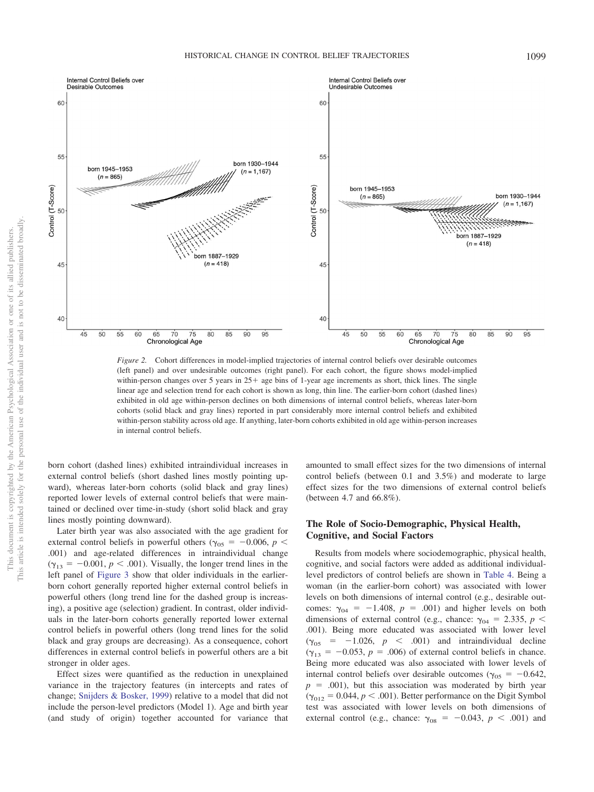

<span id="page-9-0"></span>*Figure 2.* Cohort differences in model-implied trajectories of internal control beliefs over desirable outcomes (left panel) and over undesirable outcomes (right panel). For each cohort, the figure shows model-implied within-person changes over 5 years in  $25<sup>+</sup>$  age bins of 1-year age increments as short, thick lines. The single linear age and selection trend for each cohort is shown as long, thin line. The earlier-born cohort (dashed lines) exhibited in old age within-person declines on both dimensions of internal control beliefs, whereas later-born cohorts (solid black and gray lines) reported in part considerably more internal control beliefs and exhibited within-person stability across old age. If anything, later-born cohorts exhibited in old age within-person increases in internal control beliefs.

born cohort (dashed lines) exhibited intraindividual increases in external control beliefs (short dashed lines mostly pointing upward), whereas later-born cohorts (solid black and gray lines) reported lower levels of external control beliefs that were maintained or declined over time-in-study (short solid black and gray lines mostly pointing downward).

Later birth year was also associated with the age gradient for external control beliefs in powerful others ( $\gamma_{05} = -0.006$ ,  $p <$ .001) and age-related differences in intraindividual change  $(\gamma_{13} = -0.001, p < .001)$ . Visually, the longer trend lines in the left panel of [Figure 3](#page-10-0) show that older individuals in the earlierborn cohort generally reported higher external control beliefs in powerful others (long trend line for the dashed group is increasing), a positive age (selection) gradient. In contrast, older individuals in the later-born cohorts generally reported lower external control beliefs in powerful others (long trend lines for the solid black and gray groups are decreasing). As a consequence, cohort differences in external control beliefs in powerful others are a bit stronger in older ages.

Effect sizes were quantified as the reduction in unexplained variance in the trajectory features (in intercepts and rates of change; [Snijders & Bosker, 1999\)](#page-17-32) relative to a model that did not include the person-level predictors (Model 1). Age and birth year (and study of origin) together accounted for variance that

amounted to small effect sizes for the two dimensions of internal control beliefs (between 0.1 and 3.5%) and moderate to large effect sizes for the two dimensions of external control beliefs (between 4.7 and 66.8%).

# **The Role of Socio-Demographic, Physical Health, Cognitive, and Social Factors**

Results from models where sociodemographic, physical health, cognitive, and social factors were added as additional individuallevel predictors of control beliefs are shown in [Table 4.](#page-11-0) Being a woman (in the earlier-born cohort) was associated with lower levels on both dimensions of internal control (e.g., desirable outcomes:  $\gamma_{04} = -1.408$ ,  $p = .001$ ) and higher levels on both dimensions of external control (e.g., chance:  $\gamma_{04} = 2.335, p <$ .001). Being more educated was associated with lower level  $(\gamma_{05} = -1.026, p < .001)$  and intraindividual decline  $(\gamma_{13} = -0.053, p = .006)$  of external control beliefs in chance. Being more educated was also associated with lower levels of internal control beliefs over desirable outcomes ( $\gamma_{05} = -0.642$ ,  $p = .001$ ), but this association was moderated by birth year  $(\gamma_{012} = 0.044, p < .001)$ . Better performance on the Digit Symbol test was associated with lower levels on both dimensions of external control (e.g., chance:  $\gamma_{08} = -0.043$ ,  $p < .001$ ) and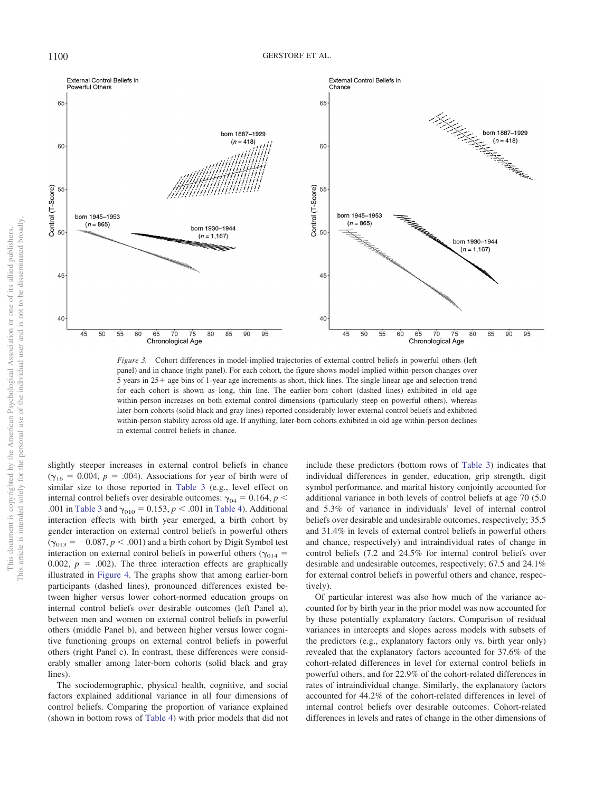

<span id="page-10-0"></span>*Figure 3.* Cohort differences in model-implied trajectories of external control beliefs in powerful others (left panel) and in chance (right panel). For each cohort, the figure shows model-implied within-person changes over  $5$  years in  $25+$  age bins of 1-year age increments as short, thick lines. The single linear age and selection trend for each cohort is shown as long, thin line. The earlier-born cohort (dashed lines) exhibited in old age within-person increases on both external control dimensions (particularly steep on powerful others), whereas later-born cohorts (solid black and gray lines) reported considerably lower external control beliefs and exhibited within-person stability across old age. If anything, later-born cohorts exhibited in old age within-person declines in external control beliefs in chance.

slightly steeper increases in external control beliefs in chance  $(\gamma_{16} = 0.004, p = .004)$ . Associations for year of birth were of similar size to those reported in [Table 3](#page-8-0) (e.g., level effect on internal control beliefs over desirable outcomes:  $\gamma_{04} = 0.164$ ,  $p <$ .001 in [Table 3](#page-8-0) and  $\gamma_{010} = 0.153$ ,  $p < .001$  in [Table 4\)](#page-11-0). Additional interaction effects with birth year emerged, a birth cohort by gender interaction on external control beliefs in powerful others  $(\gamma_{013} = -0.087, p < .001)$  and a birth cohort by Digit Symbol test interaction on external control beliefs in powerful others ( $\gamma_{014}$  = 0.002,  $p = 0.002$ ). The three interaction effects are graphically illustrated in [Figure 4.](#page-12-0) The graphs show that among earlier-born participants (dashed lines), pronounced differences existed between higher versus lower cohort-normed education groups on internal control beliefs over desirable outcomes (left Panel a), between men and women on external control beliefs in powerful others (middle Panel b), and between higher versus lower cognitive functioning groups on external control beliefs in powerful others (right Panel c). In contrast, these differences were considerably smaller among later-born cohorts (solid black and gray lines).

The sociodemographic, physical health, cognitive, and social factors explained additional variance in all four dimensions of control beliefs. Comparing the proportion of variance explained (shown in bottom rows of [Table 4\)](#page-11-0) with prior models that did not include these predictors (bottom rows of [Table 3\)](#page-8-0) indicates that individual differences in gender, education, grip strength, digit symbol performance, and marital history conjointly accounted for additional variance in both levels of control beliefs at age 70 (5.0 and 5.3% of variance in individuals' level of internal control beliefs over desirable and undesirable outcomes, respectively; 35.5 and 31.4% in levels of external control beliefs in powerful others and chance, respectively) and intraindividual rates of change in control beliefs (7.2 and 24.5% for internal control beliefs over desirable and undesirable outcomes, respectively; 67.5 and 24.1% for external control beliefs in powerful others and chance, respectively).

Of particular interest was also how much of the variance accounted for by birth year in the prior model was now accounted for by these potentially explanatory factors. Comparison of residual variances in intercepts and slopes across models with subsets of the predictors (e.g., explanatory factors only vs. birth year only) revealed that the explanatory factors accounted for 37.6% of the cohort-related differences in level for external control beliefs in powerful others, and for 22.9% of the cohort-related differences in rates of intraindividual change. Similarly, the explanatory factors accounted for 44.2% of the cohort-related differences in level of internal control beliefs over desirable outcomes. Cohort-related differences in levels and rates of change in the other dimensions of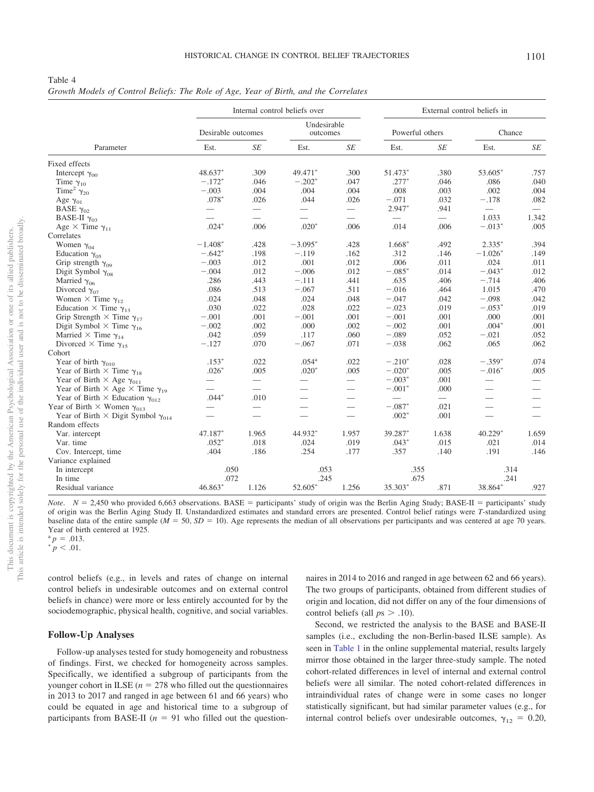<span id="page-11-0"></span>*Growth Models of Control Beliefs: The Role of Age, Year of Birth, and the Correlates*

|                                                        |                          | Internal control beliefs over |                          |                          |          | External control beliefs in |                          |                          |  |  |
|--------------------------------------------------------|--------------------------|-------------------------------|--------------------------|--------------------------|----------|-----------------------------|--------------------------|--------------------------|--|--|
|                                                        |                          | Desirable outcomes            |                          | Undesirable<br>outcomes  |          | Powerful others             | Chance                   |                          |  |  |
| Parameter                                              | Est.                     | SE                            | Est.                     | $\sqrt{SE}$              | Est.     | $\sqrt{SE}$                 | Est.                     | SE                       |  |  |
| Fixed effects                                          |                          |                               |                          |                          |          |                             |                          |                          |  |  |
| Intercept $\gamma_{00}$                                | 48.637*                  | .309                          | 49.471*                  | .300                     | 51.473*  | .380                        | 53.605*                  | .757                     |  |  |
| Time $\gamma_{10}$                                     | $-.172*$                 | .046                          | $-.202*$                 | .047                     | $.277*$  | .046                        | .086                     | .040                     |  |  |
| Time <sup>2</sup> $\gamma_{20}$                        | $-.003$                  | .004                          | .004                     | .004                     | .008     | .003                        | .002                     | .004                     |  |  |
| Age $\gamma_{01}$                                      | $.078*$                  | .026                          | .044                     | .026                     | $-.071$  | .032                        | $-.178$                  | .082                     |  |  |
| BASE $\gamma_{02}$                                     |                          | $\overline{\phantom{m}}$      | $\overline{\phantom{0}}$ | $\overline{\phantom{0}}$ | $2.947*$ | .941                        | $\equiv$                 |                          |  |  |
| BASE-II $\gamma_{03}$                                  |                          |                               |                          |                          |          |                             | 1.033                    | 1.342                    |  |  |
| Age $\times$ Time $\gamma_{11}$                        | $.024*$                  | .006                          | $.020*$                  | .006                     | .014     | .006                        | $-.013*$                 | .005                     |  |  |
| Correlates                                             |                          |                               |                          |                          |          |                             |                          |                          |  |  |
| Women $\gamma_{04}$                                    | $-1.408*$                | .428                          | $-3.095*$                | .428                     | 1.668*   | .492                        | $2.335*$                 | .394                     |  |  |
| Education $\gamma_{05}$                                | $-.642*$                 | .198                          | $-.119$                  | .162                     | .312     | .146                        | $-1.026*$                | .149                     |  |  |
| Grip strength $\gamma_{09}$                            | $-.003$                  | .012                          | .001                     | .012                     | .006     | .011                        | .024                     | .011                     |  |  |
| Digit Symbol $\gamma_{08}$                             | $-.004$                  | .012                          | $-.006$                  | .012                     | $-.085*$ | .014                        | $-.043*$                 | .012                     |  |  |
| Married $\gamma_{06}$                                  | .286                     | .443                          | $-.111$                  | .441                     | .635     | .406                        | $-.714$                  | .406                     |  |  |
| Divorced $\gamma_{07}$                                 | .086                     | .513                          | $-.067$                  | .511                     | $-.016$  | .464                        | 1.015                    | .470                     |  |  |
| Women $\times$ Time $\gamma_{12}$                      | .024                     | .048                          | .024                     | .048                     | $-.047$  | .042                        | $-.098$                  | .042                     |  |  |
| Education $\times$ Time $\gamma_{13}$                  | .030                     | .022                          | .028                     | .022                     | $-.023$  | .019                        | $-.053*$                 | .019                     |  |  |
| Grip Strength $\times$ Time $\gamma_{17}$              | $-.001$                  | .001                          | $-.001$                  | .001                     | $-.001$  | .001                        | .000                     | .001                     |  |  |
| Digit Symbol $\times$ Time $\gamma_{16}$               | $-.002$                  | .002                          | .000                     | .002                     | $-.002$  | .001                        | $.004*$                  | .001                     |  |  |
| Married $\times$ Time $\gamma_{14}$                    | .042                     | .059                          | .117                     | .060                     | $-.089$  | .052                        | $-.021$                  | .052                     |  |  |
| Divorced $\times$ Time $\gamma_{15}$                   | $-.127$                  | .070                          | $-.067$                  | .071                     | $-.038$  | .062                        | .065                     | .062                     |  |  |
| Cohort                                                 |                          |                               |                          |                          |          |                             |                          |                          |  |  |
| Year of birth $\gamma_{010}$                           | $.153*$                  | .022                          | .054 <sup>a</sup>        | .022                     | $-.210*$ | .028                        | $-.359*$                 | .074                     |  |  |
| Year of Birth $\times$ Time $\gamma_{18}$              | $.026*$                  | .005                          | $.020*$                  | .005                     | $-.020*$ | .005                        | $-.016*$                 | .005                     |  |  |
| Year of Birth $\times$ Age $\gamma_{011}$              | $\overline{\phantom{0}}$ |                               |                          |                          | $-.003*$ | .001                        |                          |                          |  |  |
| Year of Birth $\times$ Age $\times$ Time $\gamma_{19}$ | $\overline{\phantom{0}}$ |                               |                          | $\overline{\phantom{0}}$ | $-.001*$ | .000                        | $\overline{\phantom{0}}$ |                          |  |  |
| Year of Birth $\times$ Education $\gamma_{012}$        | $.044*$                  | .010                          |                          |                          |          | $\equiv$                    |                          |                          |  |  |
| Year of Birth $\times$ Women $\gamma_{013}$            |                          | $\overline{\phantom{m}}$      | $\overline{\phantom{0}}$ | $\overline{\phantom{0}}$ | $-.087*$ | .021                        | $\overline{\phantom{0}}$ | $\overline{\phantom{0}}$ |  |  |
| Year of Birth $\times$ Digit Symbol $\gamma_{014}$     | $\overline{\phantom{0}}$ |                               |                          |                          | $.002*$  | .001                        | $\overline{\phantom{0}}$ |                          |  |  |
| Random effects                                         |                          |                               |                          |                          |          |                             |                          |                          |  |  |
| Var. intercept                                         | 47.187*                  | 1.965                         | 44.932*                  | 1.957                    | 39.287*  | 1.638                       | $40.229*$                | 1.659                    |  |  |
| Var. time                                              | $.052*$                  | .018                          | .024                     | .019                     | $.043*$  | .015                        | .021                     | .014                     |  |  |
| Cov. Intercept, time                                   | .404                     | .186                          | .254                     | .177                     | .357     | .140                        | .191                     | .146                     |  |  |
| Variance explained                                     |                          |                               |                          |                          |          |                             |                          |                          |  |  |
| In intercept                                           | .050                     |                               | .053                     |                          | .355     |                             | .314                     |                          |  |  |
| In time                                                | .072                     |                               | .245                     |                          | .675     |                             | .241                     |                          |  |  |
| Residual variance                                      | 46.863*                  | 1.126                         | 52.605*                  | 1.256                    | 35.303*  | .871                        | 38.864*                  | .927                     |  |  |

*Note.*  $N = 2,450$  who provided 6,663 observations. BASE = participants' study of origin was the Berlin Aging Study; BASE-II = participants' study of origin was the Berlin Aging Study II. Unstandardized estimates and standard errors are presented. Control belief ratings were *T*-standardized using baseline data of the entire sample  $(M = 50, SD = 10)$ . Age represents the median of all observations per participants and was centered at age 70 years. Year of birth centered at 1925.

 ${}^{a}p = .013.$ <br>  ${}^{b}p < .01.$ 

control beliefs (e.g., in levels and rates of change on internal control beliefs in undesirable outcomes and on external control beliefs in chance) were more or less entirely accounted for by the sociodemographic, physical health, cognitive, and social variables.

#### **Follow-Up Analyses**

Follow-up analyses tested for study homogeneity and robustness of findings. First, we checked for homogeneity across samples. Specifically, we identified a subgroup of participants from the younger cohort in ILSE  $(n = 278)$  who filled out the questionnaires in 2013 to 2017 and ranged in age between 61 and 66 years) who could be equated in age and historical time to a subgroup of participants from BASE-II  $(n = 91)$  who filled out the questionnaires in 2014 to 2016 and ranged in age between 62 and 66 years). The two groups of participants, obtained from different studies of origin and location, did not differ on any of the four dimensions of control beliefs (all  $ps > .10$ ).

Second, we restricted the analysis to the BASE and BASE-II samples (i.e., excluding the non-Berlin-based ILSE sample). As seen in [Table 1](http://dx.doi.org/10.1037/pag0000389.supp) in the online supplemental material, results largely mirror those obtained in the larger three-study sample. The noted cohort-related differences in level of internal and external control beliefs were all similar. The noted cohort-related differences in intraindividual rates of change were in some cases no longer statistically significant, but had similar parameter values (e.g., for internal control beliefs over undesirable outcomes,  $\gamma_{12} = 0.20$ ,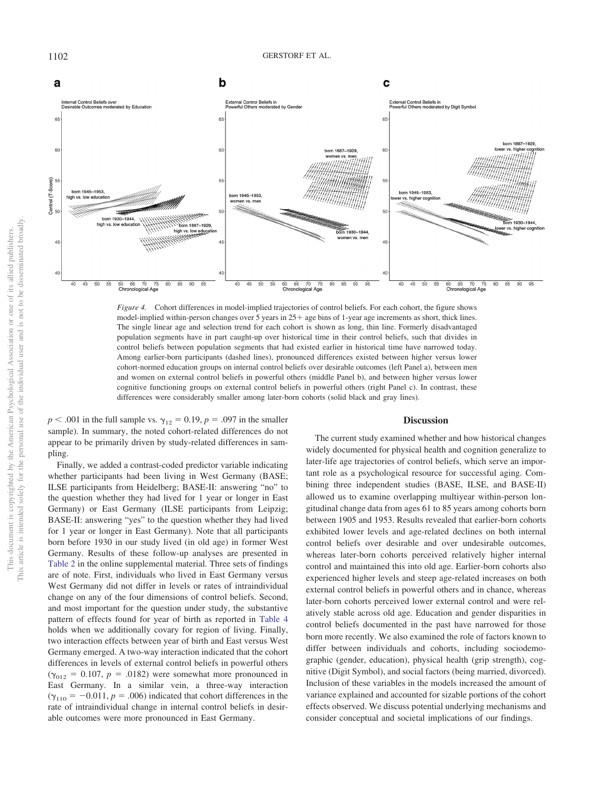

<span id="page-12-0"></span>*Figure 4.* Cohort differences in model-implied trajectories of control beliefs. For each cohort, the figure shows model-implied within-person changes over 5 years in  $25 +$  age bins of 1-year age increments as short, thick lines. The single linear age and selection trend for each cohort is shown as long, thin line. Formerly disadvantaged population segments have in part caught-up over historical time in their control beliefs, such that divides in control beliefs between population segments that had existed earlier in historical time have narrowed today. Among earlier-born participants (dashed lines), pronounced differences existed between higher versus lower cohort-normed education groups on internal control beliefs over desirable outcomes (left Panel a), between men and women on external control beliefs in powerful others (middle Panel b), and between higher versus lower cognitive functioning groups on external control beliefs in powerful others (right Panel c). In contrast, these differences were considerably smaller among later-born cohorts (solid black and gray lines).

 $p < .001$  in the full sample vs.  $\gamma_{12} = 0.19, p = .097$  in the smaller sample). In summary, the noted cohort-related differences do not appear to be primarily driven by study-related differences in sampling.

Finally, we added a contrast-coded predictor variable indicating whether participants had been living in West Germany (BASE; ILSE participants from Heidelberg; BASE-II: answering "no" to the question whether they had lived for 1 year or longer in East Germany) or East Germany (ILSE participants from Leipzig; BASE-II: answering "yes" to the question whether they had lived for 1 year or longer in East Germany). Note that all participants born before 1930 in our study lived (in old age) in former West Germany. Results of these follow-up analyses are presented in [Table 2](http://dx.doi.org/10.1037/pag0000389.supp) in the online supplemental material. Three sets of findings are of note. First, individuals who lived in East Germany versus West Germany did not differ in levels or rates of intraindividual change on any of the four dimensions of control beliefs. Second, and most important for the question under study, the substantive pattern of effects found for year of birth as reported in [Table 4](#page-11-0) holds when we additionally covary for region of living. Finally, two interaction effects between year of birth and East versus West Germany emerged. A two-way interaction indicated that the cohort differences in levels of external control beliefs in powerful others  $(\gamma_{012} = 0.107, p = .0182)$  were somewhat more pronounced in East Germany. In a similar vein, a three-way interaction  $(\gamma_{110} = -0.011, p = .006)$  indicated that cohort differences in the rate of intraindividual change in internal control beliefs in desirable outcomes were more pronounced in East Germany.

#### **Discussion**

The current study examined whether and how historical changes widely documented for physical health and cognition generalize to later-life age trajectories of control beliefs, which serve an important role as a psychological resource for successful aging. Combining three independent studies (BASE, ILSE, and BASE-II) allowed us to examine overlapping multiyear within-person longitudinal change data from ages 61 to 85 years among cohorts born between 1905 and 1953. Results revealed that earlier-born cohorts exhibited lower levels and age-related declines on both internal control beliefs over desirable and over undesirable outcomes, whereas later-born cohorts perceived relatively higher internal control and maintained this into old age. Earlier-born cohorts also experienced higher levels and steep age-related increases on both external control beliefs in powerful others and in chance, whereas later-born cohorts perceived lower external control and were relatively stable across old age. Education and gender disparities in control beliefs documented in the past have narrowed for those born more recently. We also examined the role of factors known to differ between individuals and cohorts, including sociodemographic (gender, education), physical health (grip strength), cognitive (Digit Symbol), and social factors (being married, divorced). Inclusion of these variables in the models increased the amount of variance explained and accounted for sizable portions of the cohort effects observed. We discuss potential underlying mechanisms and consider conceptual and societal implications of our findings.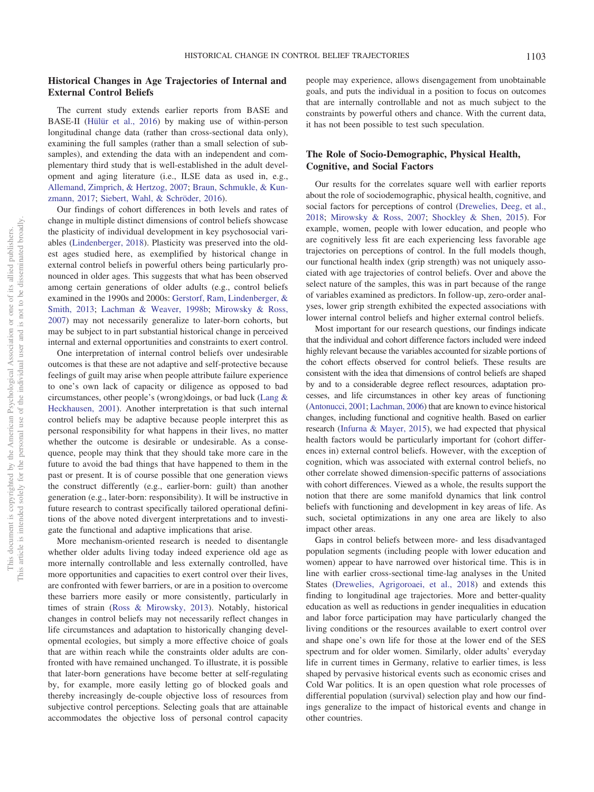# **Historical Changes in Age Trajectories of Internal and External Control Beliefs**

The current study extends earlier reports from BASE and BASE-II [\(Hülür et al., 2016\)](#page-16-8) by making use of within-person longitudinal change data (rather than cross-sectional data only), examining the full samples (rather than a small selection of subsamples), and extending the data with an independent and complementary third study that is well-established in the adult development and aging literature (i.e., ILSE data as used in, e.g., [Allemand, Zimprich, & Hertzog, 2007;](#page-15-29) [Braun, Schmukle, & Kun](#page-15-30)[zmann, 2017;](#page-15-30) [Siebert, Wahl, & Schröder, 2016\)](#page-17-33).

Our findings of cohort differences in both levels and rates of change in multiple distinct dimensions of control beliefs showcase the plasticity of individual development in key psychosocial variables [\(Lindenberger, 2018\)](#page-16-26). Plasticity was preserved into the oldest ages studied here, as exemplified by historical change in external control beliefs in powerful others being particularly pronounced in older ages. This suggests that what has been observed among certain generations of older adults (e.g., control beliefs examined in the 1990s and 2000s: [Gerstorf, Ram, Lindenberger, &](#page-16-27) [Smith, 2013;](#page-16-27) [Lachman & Weaver, 1998b;](#page-16-3) [Mirowsky & Ross,](#page-17-9) [2007\)](#page-17-9) may not necessarily generalize to later-born cohorts, but may be subject to in part substantial historical change in perceived internal and external opportunities and constraints to exert control.

One interpretation of internal control beliefs over undesirable outcomes is that these are not adaptive and self-protective because feelings of guilt may arise when people attribute failure experience to one's own lack of capacity or diligence as opposed to bad circumstances, other people's (wrong)doings, or bad luck [\(Lang &](#page-16-28) [Heckhausen, 2001\)](#page-16-28). Another interpretation is that such internal control beliefs may be adaptive because people interpret this as personal responsibility for what happens in their lives, no matter whether the outcome is desirable or undesirable. As a consequence, people may think that they should take more care in the future to avoid the bad things that have happened to them in the past or present. It is of course possible that one generation views the construct differently (e.g., earlier-born: guilt) than another generation (e.g., later-born: responsibility). It will be instructive in future research to contrast specifically tailored operational definitions of the above noted divergent interpretations and to investigate the functional and adaptive implications that arise.

More mechanism-oriented research is needed to disentangle whether older adults living today indeed experience old age as more internally controllable and less externally controlled, have more opportunities and capacities to exert control over their lives, are confronted with fewer barriers, or are in a position to overcome these barriers more easily or more consistently, particularly in times of strain [\(Ross & Mirowsky, 2013\)](#page-17-21). Notably, historical changes in control beliefs may not necessarily reflect changes in life circumstances and adaptation to historically changing developmental ecologies, but simply a more effective choice of goals that are within reach while the constraints older adults are confronted with have remained unchanged. To illustrate, it is possible that later-born generations have become better at self-regulating by, for example, more easily letting go of blocked goals and thereby increasingly de-couple objective loss of resources from subjective control perceptions. Selecting goals that are attainable accommodates the objective loss of personal control capacity

people may experience, allows disengagement from unobtainable goals, and puts the individual in a position to focus on outcomes that are internally controllable and not as much subject to the constraints by powerful others and chance. With the current data, it has not been possible to test such speculation.

# **The Role of Socio-Demographic, Physical Health, Cognitive, and Social Factors**

Our results for the correlates square well with earlier reports about the role of sociodemographic, physical health, cognitive, and social factors for perceptions of control [\(Drewelies, Deeg, et al.,](#page-15-16) [2018;](#page-15-16) [Mirowsky & Ross, 2007;](#page-17-9) [Shockley & Shen, 2015\)](#page-17-18). For example, women, people with lower education, and people who are cognitively less fit are each experiencing less favorable age trajectories on perceptions of control. In the full models though, our functional health index (grip strength) was not uniquely associated with age trajectories of control beliefs. Over and above the select nature of the samples, this was in part because of the range of variables examined as predictors. In follow-up, zero-order analyses, lower grip strength exhibited the expected associations with lower internal control beliefs and higher external control beliefs.

Most important for our research questions, our findings indicate that the individual and cohort difference factors included were indeed highly relevant because the variables accounted for sizable portions of the cohort effects observed for control beliefs. These results are consistent with the idea that dimensions of control beliefs are shaped by and to a considerable degree reflect resources, adaptation processes, and life circumstances in other key areas of functioning [\(Antonucci, 2001;](#page-15-12) [Lachman, 2006\)](#page-16-11) that are known to evince historical changes, including functional and cognitive health. Based on earlier research [\(Infurna & Mayer, 2015\)](#page-16-29), we had expected that physical health factors would be particularly important for (cohort differences in) external control beliefs. However, with the exception of cognition, which was associated with external control beliefs, no other correlate showed dimension-specific patterns of associations with cohort differences. Viewed as a whole, the results support the notion that there are some manifold dynamics that link control beliefs with functioning and development in key areas of life. As such, societal optimizations in any one area are likely to also impact other areas.

Gaps in control beliefs between more- and less disadvantaged population segments (including people with lower education and women) appear to have narrowed over historical time. This is in line with earlier cross-sectional time-lag analyses in the United States [\(Drewelies, Agrigoroaei, et al., 2018\)](#page-15-15) and extends this finding to longitudinal age trajectories. More and better-quality education as well as reductions in gender inequalities in education and labor force participation may have particularly changed the living conditions or the resources available to exert control over and shape one's own life for those at the lower end of the SES spectrum and for older women. Similarly, older adults' everyday life in current times in Germany, relative to earlier times, is less shaped by pervasive historical events such as economic crises and Cold War politics. It is an open question what role processes of differential population (survival) selection play and how our findings generalize to the impact of historical events and change in other countries.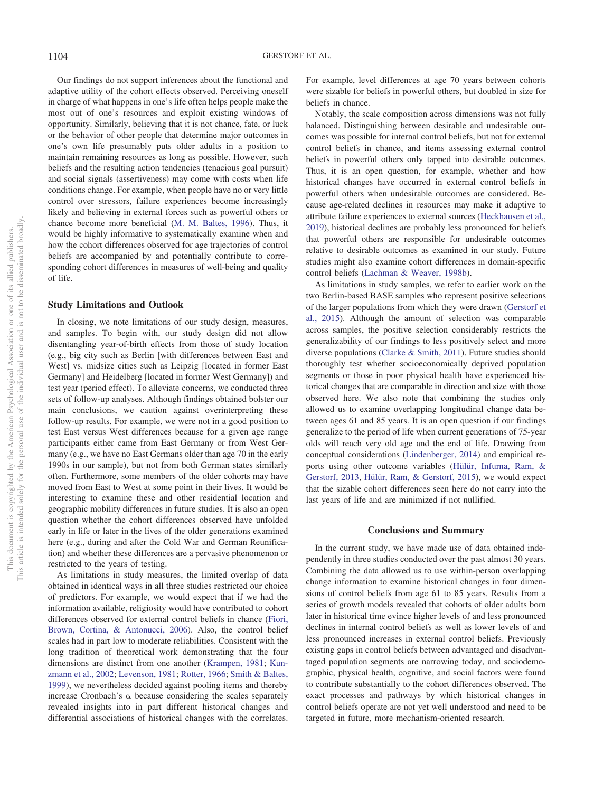Our findings do not support inferences about the functional and adaptive utility of the cohort effects observed. Perceiving oneself in charge of what happens in one's life often helps people make the most out of one's resources and exploit existing windows of opportunity. Similarly, believing that it is not chance, fate, or luck or the behavior of other people that determine major outcomes in one's own life presumably puts older adults in a position to maintain remaining resources as long as possible. However, such beliefs and the resulting action tendencies (tenacious goal pursuit) and social signals (assertiveness) may come with costs when life conditions change. For example, when people have no or very little control over stressors, failure experiences become increasingly likely and believing in external forces such as powerful others or chance become more beneficial [\(M. M. Baltes, 1996\)](#page-15-31). Thus, it would be highly informative to systematically examine when and how the cohort differences observed for age trajectories of control beliefs are accompanied by and potentially contribute to corresponding cohort differences in measures of well-being and quality of life.

#### **Study Limitations and Outlook**

In closing, we note limitations of our study design, measures, and samples. To begin with, our study design did not allow disentangling year-of-birth effects from those of study location (e.g., big city such as Berlin [with differences between East and West] vs. midsize cities such as Leipzig [located in former East Germany] and Heidelberg [located in former West Germany]) and test year (period effect). To alleviate concerns, we conducted three sets of follow-up analyses. Although findings obtained bolster our main conclusions, we caution against overinterpreting these follow-up results. For example, we were not in a good position to test East versus West differences because for a given age range participants either came from East Germany or from West Germany (e.g., we have no East Germans older than age 70 in the early 1990s in our sample), but not from both German states similarly often. Furthermore, some members of the older cohorts may have moved from East to West at some point in their lives. It would be interesting to examine these and other residential location and geographic mobility differences in future studies. It is also an open question whether the cohort differences observed have unfolded early in life or later in the lives of the older generations examined here (e.g., during and after the Cold War and German Reunification) and whether these differences are a pervasive phenomenon or restricted to the years of testing.

As limitations in study measures, the limited overlap of data obtained in identical ways in all three studies restricted our choice of predictors. For example, we would expect that if we had the information available, religiosity would have contributed to cohort differences observed for external control beliefs in chance [\(Fiori,](#page-15-32) [Brown, Cortina, & Antonucci, 2006\)](#page-15-32). Also, the control belief scales had in part low to moderate reliabilities. Consistent with the long tradition of theoretical work demonstrating that the four dimensions are distinct from one another [\(Krampen, 1981;](#page-16-30) [Kun](#page-16-2)[zmann et al., 2002;](#page-16-2) [Levenson, 1981;](#page-16-1) [Rotter, 1966;](#page-17-7) [Smith & Baltes,](#page-17-34) [1999\)](#page-17-34), we nevertheless decided against pooling items and thereby increase Cronbach's  $\alpha$  because considering the scales separately revealed insights into in part different historical changes and differential associations of historical changes with the correlates. For example, level differences at age 70 years between cohorts were sizable for beliefs in powerful others, but doubled in size for beliefs in chance.

Notably, the scale composition across dimensions was not fully balanced. Distinguishing between desirable and undesirable outcomes was possible for internal control beliefs, but not for external control beliefs in chance, and items assessing external control beliefs in powerful others only tapped into desirable outcomes. Thus, it is an open question, for example, whether and how historical changes have occurred in external control beliefs in powerful others when undesirable outcomes are considered. Because age-related declines in resources may make it adaptive to attribute failure experiences to external sources [\(Heckhausen et al.,](#page-16-4) [2019\)](#page-16-4), historical declines are probably less pronounced for beliefs that powerful others are responsible for undesirable outcomes relative to desirable outcomes as examined in our study. Future studies might also examine cohort differences in domain-specific control beliefs [\(Lachman & Weaver, 1998b\)](#page-16-3).

As limitations in study samples, we refer to earlier work on the two Berlin-based BASE samples who represent positive selections of the larger populations from which they were drawn [\(Gerstorf et](#page-15-13) [al., 2015\)](#page-15-13). Although the amount of selection was comparable across samples, the positive selection considerably restricts the generalizability of our findings to less positively select and more diverse populations [\(Clarke & Smith, 2011\)](#page-15-33). Future studies should thoroughly test whether socioeconomically deprived population segments or those in poor physical health have experienced historical changes that are comparable in direction and size with those observed here. We also note that combining the studies only allowed us to examine overlapping longitudinal change data between ages 61 and 85 years. It is an open question if our findings generalize to the period of life when current generations of 75-year olds will reach very old age and the end of life. Drawing from conceptual considerations [\(Lindenberger, 2014\)](#page-16-17) and empirical reports using other outcome variables [\(Hülür, Infurna, Ram, &](#page-16-31) [Gerstorf, 2013,](#page-16-31) [Hülür, Ram, & Gerstorf, 2015\)](#page-16-32), we would expect that the sizable cohort differences seen here do not carry into the last years of life and are minimized if not nullified.

#### **Conclusions and Summary**

In the current study, we have made use of data obtained independently in three studies conducted over the past almost 30 years. Combining the data allowed us to use within-person overlapping change information to examine historical changes in four dimensions of control beliefs from age 61 to 85 years. Results from a series of growth models revealed that cohorts of older adults born later in historical time evince higher levels of and less pronounced declines in internal control beliefs as well as lower levels of and less pronounced increases in external control beliefs. Previously existing gaps in control beliefs between advantaged and disadvantaged population segments are narrowing today, and sociodemographic, physical health, cognitive, and social factors were found to contribute substantially to the cohort differences observed. The exact processes and pathways by which historical changes in control beliefs operate are not yet well understood and need to be targeted in future, more mechanism-oriented research.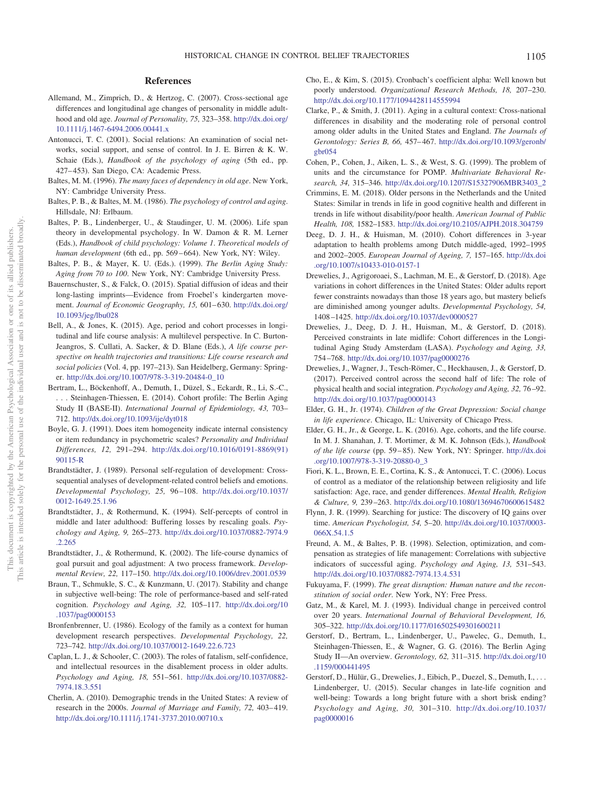# **References**

- <span id="page-15-29"></span>Allemand, M., Zimprich, D., & Hertzog, C. (2007). Cross-sectional age differences and longitudinal age changes of personality in middle adulthood and old age. *Journal of Personality, 75,* 323–358. [http://dx.doi.org/](http://dx.doi.org/10.1111/j.1467-6494.2006.00441.x) [10.1111/j.1467-6494.2006.00441.x](http://dx.doi.org/10.1111/j.1467-6494.2006.00441.x)
- <span id="page-15-12"></span>Antonucci, T. C. (2001). Social relations: An examination of social networks, social support, and sense of control. In J. E. Birren & K. W. Schaie (Eds.), *Handbook of the psychology of aging* (5th ed., pp. 427– 453). San Diego, CA: Academic Press.
- <span id="page-15-31"></span>Baltes, M. M. (1996). *The many faces of dependency in old age*. New York, NY: Cambridge University Press.
- <span id="page-15-10"></span>Baltes, P. B., & Baltes, M. M. (1986). *The psychology of control and aging*. Hillsdale, NJ: Erlbaum.
- <span id="page-15-0"></span>Baltes, P. B., Lindenberger, U., & Staudinger, U. M. (2006). Life span theory in developmental psychology. In W. Damon & R. M. Lerner (Eds.), *Handbook of child psychology: Volume 1*. *Theoretical models of human development* (6th ed., pp. 569 – 664). New York, NY: Wiley.
- <span id="page-15-21"></span>Baltes, P. B., & Mayer, K. U. (Eds.). (1999). *The Berlin Aging Study: Aging from 70 to 100*. New York, NY: Cambridge University Press.
- <span id="page-15-17"></span>Bauernschuster, S., & Falck, O. (2015). Spatial diffusion of ideas and their long-lasting imprints—Evidence from Froebel's kindergarten movement. *Journal of Economic Geography, 15, 601*–630. [http://dx.doi.org/](http://dx.doi.org/10.1093/jeg/lbu028) [10.1093/jeg/lbu028](http://dx.doi.org/10.1093/jeg/lbu028)
- <span id="page-15-27"></span>Bell, A., & Jones, K. (2015). Age, period and cohort processes in longitudinal and life course analysis: A multilevel perspective. In C. Burton-Jeangros, S. Cullati, A. Sacker, & D. Blane (Eds.), *A life course perspective on health trajectories and transitions: Life course research and social policies* (Vol. 4, pp. 197–213). San Heidelberg, Germany: Springer. [http://dx.doi.org/10.1007/978-3-319-20484-0\\_10](http://dx.doi.org/10.1007/978-3-319-20484-0_10)
- <span id="page-15-22"></span>Bertram, L., Böckenhoff, A., Demuth, I., Düzel, S., Eckardt, R., Li, S.-C., . . . Steinhagen-Thiessen, E. (2014). Cohort profile: The Berlin Aging Study II (BASE-II). *International Journal of Epidemiology, 43,* 703– 712. <http://dx.doi.org/10.1093/ije/dyt018>
- <span id="page-15-24"></span>Boyle, G. J. (1991). Does item homogeneity indicate internal consistency or item redundancy in psychometric scales? *Personality and Individual Differences, 12,* 291–294. [http://dx.doi.org/10.1016/0191-8869\(91\)](http://dx.doi.org/10.1016/0191-8869%2891%2990115-R) [90115-R](http://dx.doi.org/10.1016/0191-8869%2891%2990115-R)
- <span id="page-15-5"></span>Brandtstädter, J. (1989). Personal self-regulation of development: Crosssequential analyses of development-related control beliefs and emotions. *Developmental Psychology, 25,* 96 –108. [http://dx.doi.org/10.1037/](http://dx.doi.org/10.1037/0012-1649.25.1.96) [0012-1649.25.1.96](http://dx.doi.org/10.1037/0012-1649.25.1.96)
- <span id="page-15-6"></span>Brandtstädter, J., & Rothermund, K. (1994). Self-percepts of control in middle and later adulthood: Buffering losses by rescaling goals. *Psychology and Aging, 9,* 265–273. [http://dx.doi.org/10.1037/0882-7974.9](http://dx.doi.org/10.1037/0882-7974.9.2.265) [.2.265](http://dx.doi.org/10.1037/0882-7974.9.2.265)
- <span id="page-15-8"></span>Brandtstädter, J., & Rothermund, K. (2002). The life-course dynamics of goal pursuit and goal adjustment: A two process framework. *Developmental Review, 22,* 117–150. <http://dx.doi.org/10.1006/drev.2001.0539>
- <span id="page-15-30"></span>Braun, T., Schmukle, S. C., & Kunzmann, U. (2017). Stability and change in subjective well-being: The role of performance-based and self-rated cognition. *Psychology and Aging, 32,* 105–117. [http://dx.doi.org/10](http://dx.doi.org/10.1037/pag0000153) [.1037/pag0000153](http://dx.doi.org/10.1037/pag0000153)
- <span id="page-15-1"></span>Bronfenbrenner, U. (1986). Ecology of the family as a context for human development research perspectives. *Developmental Psychology, 22,* 723–742. <http://dx.doi.org/10.1037/0012-1649.22.6.723>
- <span id="page-15-28"></span>Caplan, L. J., & Schooler, C. (2003). The roles of fatalism, self-confidence, and intellectual resources in the disablement process in older adults. *Psychology and Aging, 18,* 551–561. [http://dx.doi.org/10.1037/0882-](http://dx.doi.org/10.1037/0882-7974.18.3.551) [7974.18.3.551](http://dx.doi.org/10.1037/0882-7974.18.3.551)
- <span id="page-15-20"></span>Cherlin, A. (2010). Demographic trends in the United States: A review of research in the 2000s. *Journal of Marriage and Family*, 72, 403–419. <http://dx.doi.org/10.1111/j.1741-3737.2010.00710.x>
- <span id="page-15-25"></span>Cho, E., & Kim, S. (2015). Cronbach's coefficient alpha: Well known but poorly understood. *Organizational Research Methods, 18,* 207–230. <http://dx.doi.org/10.1177/1094428114555994>
- <span id="page-15-33"></span>Clarke, P., & Smith, J. (2011). Aging in a cultural context: Cross-national differences in disability and the moderating role of personal control among older adults in the United States and England. *The Journals of Gerontology: Series B, 66,* 457– 467. [http://dx.doi.org/10.1093/geronb/](http://dx.doi.org/10.1093/geronb/gbr054) [gbr054](http://dx.doi.org/10.1093/geronb/gbr054)
- <span id="page-15-26"></span>Cohen, P., Cohen, J., Aiken, L. S., & West, S. G. (1999). The problem of units and the circumstance for POMP. *Multivariate Behavioral Research, 34,* 315–346. [http://dx.doi.org/10.1207/S15327906MBR3403\\_2](http://dx.doi.org/10.1207/S15327906MBR3403_2)
- <span id="page-15-4"></span>Crimmins, E. M. (2018). Older persons in the Netherlands and the United States: Similar in trends in life in good cognitive health and different in trends in life without disability/poor health. *American Journal of Public Health, 108,* 1582–1583. <http://dx.doi.org/10.2105/AJPH.2018.304759>
- <span id="page-15-19"></span>Deeg, D. J. H., & Huisman, M. (2010). Cohort differences in 3-year adaptation to health problems among Dutch middle-aged, 1992–1995 and 2002–2005. *European Journal of Ageing, 7,* 157–165. [http://dx.doi](http://dx.doi.org/10.1007/s10433-010-0157-1) [.org/10.1007/s10433-010-0157-1](http://dx.doi.org/10.1007/s10433-010-0157-1)
- <span id="page-15-15"></span>Drewelies, J., Agrigoroaei, S., Lachman, M. E., & Gerstorf, D. (2018). Age variations in cohort differences in the United States: Older adults report fewer constraints nowadays than those 18 years ago, but mastery beliefs are diminished among younger adults. *Developmental Psychology, 54,* 1408 –1425. <http://dx.doi.org/10.1037/dev0000527>
- <span id="page-15-16"></span>Drewelies, J., Deeg, D. J. H., Huisman, M., & Gerstorf, D. (2018). Perceived constraints in late midlife: Cohort differences in the Longitudinal Aging Study Amsterdam (LASA). *Psychology and Aging, 33,* 754 –768. <http://dx.doi.org/10.1037/pag0000276>
- <span id="page-15-7"></span>Drewelies, J., Wagner, J., Tesch-Römer, C., Heckhausen, J., & Gerstorf, D. (2017). Perceived control across the second half of life: The role of physical health and social integration. *Psychology and Aging, 32,* 76 –92. <http://dx.doi.org/10.1037/pag0000143>
- <span id="page-15-2"></span>Elder, G. H., Jr. (1974). *Children of the Great Depression: Social change in life experience*. Chicago, IL: University of Chicago Press.
- <span id="page-15-11"></span>Elder, G. H., Jr., & George, L. K. (2016). Age, cohorts, and the life course. In M. J. Shanahan, J. T. Mortimer, & M. K. Johnson (Eds.), *Handbook of the life course* (pp. 59 – 85). New York, NY: Springer. [http://dx.doi](http://dx.doi.org/10.1007/978-3-319-20880-0_3) [.org/10.1007/978-3-319-20880-0\\_3](http://dx.doi.org/10.1007/978-3-319-20880-0_3)
- <span id="page-15-32"></span>Fiori, K. L., Brown, E. E., Cortina, K. S., & Antonucci, T. C. (2006). Locus of control as a mediator of the relationship between religiosity and life satisfaction: Age, race, and gender differences. *Mental Health, Religion & Culture, 9,* 239 –263. <http://dx.doi.org/10.1080/13694670600615482>
- <span id="page-15-3"></span>Flynn, J. R. (1999). Searching for justice: The discovery of IQ gains over time. *American Psychologist, 54,* 5–20. [http://dx.doi.org/10.1037/0003-](http://dx.doi.org/10.1037/0003-066X.54.1.5) [066X.54.1.5](http://dx.doi.org/10.1037/0003-066X.54.1.5)
- <span id="page-15-9"></span>Freund, A. M., & Baltes, P. B. (1998). Selection, optimization, and compensation as strategies of life management: Correlations with subjective indicators of successful aging. *Psychology and Aging, 13,* 531–543. <http://dx.doi.org/10.1037/0882-7974.13.4.531>
- <span id="page-15-14"></span>Fukuyama, F. (1999). *The great disruption: Human nature and the reconstitution of social order*. New York, NY: Free Press.
- <span id="page-15-18"></span>Gatz, M., & Karel, M. J. (1993). Individual change in perceived control over 20 years. *International Journal of Behavioral Development, 16,* 305–322. <http://dx.doi.org/10.1177/016502549301600211>
- <span id="page-15-23"></span>Gerstorf, D., Bertram, L., Lindenberger, U., Pawelec, G., Demuth, I., Steinhagen-Thiessen, E., & Wagner, G. G. (2016). The Berlin Aging Study II—An overview. *Gerontology, 62,* 311–315. [http://dx.doi.org/10](http://dx.doi.org/10.1159/000441495) [.1159/000441495](http://dx.doi.org/10.1159/000441495)
- <span id="page-15-13"></span>Gerstorf, D., Hülür, G., Drewelies, J., Eibich, P., Duezel, S., Demuth, I.,... Lindenberger, U. (2015). Secular changes in late-life cognition and well-being: Towards a long bright future with a short brisk ending? *Psychology and Aging, 30,* 301–310. [http://dx.doi.org/10.1037/](http://dx.doi.org/10.1037/pag0000016) [pag0000016](http://dx.doi.org/10.1037/pag0000016)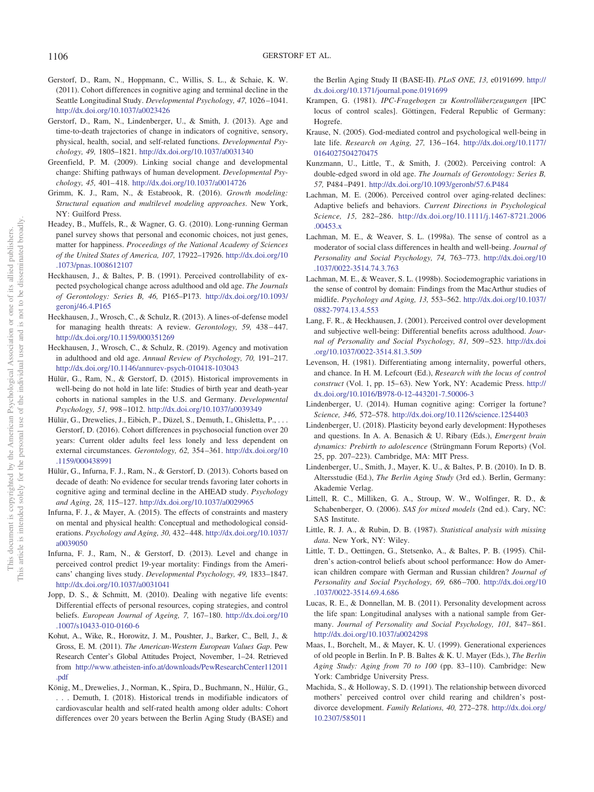- <span id="page-16-16"></span>Gerstorf, D., Ram, N., Hoppmann, C., Willis, S. L., & Schaie, K. W. (2011). Cohort differences in cognitive aging and terminal decline in the Seattle Longitudinal Study. *Developmental Psychology, 47,* 1026 –1041. <http://dx.doi.org/10.1037/a0023426>
- <span id="page-16-27"></span>Gerstorf, D., Ram, N., Lindenberger, U., & Smith, J. (2013). Age and time-to-death trajectories of change in indicators of cognitive, sensory, physical, health, social, and self-related functions. *Developmental Psychology, 49,* 1805–1821. <http://dx.doi.org/10.1037/a0031340>
- <span id="page-16-10"></span>Greenfield, P. M. (2009). Linking social change and developmental change: Shifting pathways of human development. *Developmental Psychology, 45,* 401– 418. <http://dx.doi.org/10.1037/a0014726>
- <span id="page-16-25"></span>Grimm, K. J., Ram, N., & Estabrook, R. (2016). *Growth modeling: Structural equation and multilevel modeling approaches*. New York, NY: Guilford Press.
- <span id="page-16-22"></span>Headey, B., Muffels, R., & Wagner, G. G. (2010). Long-running German panel survey shows that personal and economic choices, not just genes, matter for happiness. *Proceedings of the National Academy of Sciences of the United States of America, 107,* 17922–17926. [http://dx.doi.org/10](http://dx.doi.org/10.1073/pnas.1008612107) [.1073/pnas.1008612107](http://dx.doi.org/10.1073/pnas.1008612107)
- <span id="page-16-5"></span>Heckhausen, J., & Baltes, P. B. (1991). Perceived controllability of expected psychological change across adulthood and old age. *The Journals of Gerontology: Series B, 46,* P165–P173. [http://dx.doi.org/10.1093/](http://dx.doi.org/10.1093/geronj/46.4.P165) [geronj/46.4.P165](http://dx.doi.org/10.1093/geronj/46.4.P165)
- <span id="page-16-15"></span>Heckhausen, J., Wrosch, C., & Schulz, R. (2013). A lines-of-defense model for managing health threats: A review. *Gerontology*, 59, 438-447. <http://dx.doi.org/10.1159/000351269>
- <span id="page-16-4"></span>Heckhausen, J., Wrosch, C., & Schulz, R. (2019). Agency and motivation in adulthood and old age. *Annual Review of Psychology, 70,* 191–217. <http://dx.doi.org/10.1146/annurev-psych-010418-103043>
- <span id="page-16-32"></span>Hülür, G., Ram, N., & Gerstorf, D. (2015). Historical improvements in well-being do not hold in late life: Studies of birth year and death-year cohorts in national samples in the U.S. and Germany. *Developmental Psychology, 51,* 998 –1012. <http://dx.doi.org/10.1037/a0039349>
- <span id="page-16-8"></span>Hülür, G., Drewelies, J., Eibich, P., Düzel, S., Demuth, I., Ghisletta, P., ... Gerstorf, D. (2016). Cohort differences in psychosocial function over 20 years: Current older adults feel less lonely and less dependent on external circumstances. *Gerontology, 62,* 354 –361. [http://dx.doi.org/10](http://dx.doi.org/10.1159/000438991) [.1159/000438991](http://dx.doi.org/10.1159/000438991)
- <span id="page-16-31"></span>Hülür, G., Infurna, F. J., Ram, N., & Gerstorf, D. (2013). Cohorts based on decade of death: No evidence for secular trends favoring later cohorts in cognitive aging and terminal decline in the AHEAD study. *Psychology and Aging, 28,* 115–127. <http://dx.doi.org/10.1037/a0029965>
- <span id="page-16-29"></span>Infurna, F. J., & Mayer, A. (2015). The effects of constraints and mastery on mental and physical health: Conceptual and methodological considerations. *Psychology and Aging, 30,* 432– 448. [http://dx.doi.org/10.1037/](http://dx.doi.org/10.1037/a0039050) [a0039050](http://dx.doi.org/10.1037/a0039050)
- <span id="page-16-7"></span>Infurna, F. J., Ram, N., & Gerstorf, D. (2013). Level and change in perceived control predict 19-year mortality: Findings from the Americans' changing lives study. *Developmental Psychology, 49,* 1833–1847. <http://dx.doi.org/10.1037/a0031041>
- <span id="page-16-20"></span>Jopp, D. S., & Schmitt, M. (2010). Dealing with negative life events: Differential effects of personal resources, coping strategies, and control beliefs. *European Journal of Ageing, 7,* 167–180. [http://dx.doi.org/10](http://dx.doi.org/10.1007/s10433-010-0160-6) [.1007/s10433-010-0160-6](http://dx.doi.org/10.1007/s10433-010-0160-6)
- <span id="page-16-14"></span>Kohut, A., Wike, R., Horowitz, J. M., Poushter, J., Barker, C., Bell, J., & Gross, E. M. (2011). *The American-Western European Values Gap*. Pew Research Center's Global Attitudes Project, November, 1–24. Retrieved from [http://www.atheisten-info.at/downloads/PewResearchCenter112011](http://www.atheisten-info.at/downloads/PewResearchCenter112011.pdf) [.pdf](http://www.atheisten-info.at/downloads/PewResearchCenter112011.pdf)
- <span id="page-16-12"></span>König, M., Drewelies, J., Norman, K., Spira, D., Buchmann, N., Hülür, G., . . . Demuth, I. (2018). Historical trends in modifiable indicators of cardiovascular health and self-rated health among older adults: Cohort differences over 20 years between the Berlin Aging Study (BASE) and

the Berlin Aging Study II (BASE-II). *PLoS ONE, 13,* e0191699. [http://](http://dx.doi.org/10.1371/journal.pone.0191699) [dx.doi.org/10.1371/journal.pone.0191699](http://dx.doi.org/10.1371/journal.pone.0191699)

- <span id="page-16-30"></span>Krampen, G. (1981). *IPC-Fragebogen zu Kontrollüberzeugungen* [IPC locus of control scales]. Göttingen, Federal Republic of Germany: Hogrefe.
- <span id="page-16-6"></span>Krause, N. (2005). God-mediated control and psychological well-being in late life. *Research on Aging, 27,* 136 –164. [http://dx.doi.org/10.1177/](http://dx.doi.org/10.1177/0164027504270475) [0164027504270475](http://dx.doi.org/10.1177/0164027504270475)
- <span id="page-16-2"></span>Kunzmann, U., Little, T., & Smith, J. (2002). Perceiving control: A double-edged sword in old age. *The Journals of Gerontology: Series B, 57,* P484 –P491. <http://dx.doi.org/10.1093/geronb/57.6.P484>
- <span id="page-16-11"></span>Lachman, M. E. (2006). Perceived control over aging-related declines: Adaptive beliefs and behaviors. *Current Directions in Psychological Science, 15,* 282–286. [http://dx.doi.org/10.1111/j.1467-8721.2006](http://dx.doi.org/10.1111/j.1467-8721.2006.00453.x) [.00453.x](http://dx.doi.org/10.1111/j.1467-8721.2006.00453.x)
- <span id="page-16-0"></span>Lachman, M. E., & Weaver, S. L. (1998a). The sense of control as a moderator of social class differences in health and well-being. *Journal of Personality and Social Psychology, 74,* 763–773. [http://dx.doi.org/10](http://dx.doi.org/10.1037/0022-3514.74.3.763) [.1037/0022-3514.74.3.763](http://dx.doi.org/10.1037/0022-3514.74.3.763)
- <span id="page-16-3"></span>Lachman, M. E., & Weaver, S. L. (1998b). Sociodemographic variations in the sense of control by domain: Findings from the MacArthur studies of midlife. *Psychology and Aging, 13,* 553–562. [http://dx.doi.org/10.1037/](http://dx.doi.org/10.1037/0882-7974.13.4.553) [0882-7974.13.4.553](http://dx.doi.org/10.1037/0882-7974.13.4.553)
- <span id="page-16-28"></span>Lang, F. R., & Heckhausen, J. (2001). Perceived control over development and subjective well-being: Differential benefits across adulthood. *Journal of Personality and Social Psychology, 81,* 509 –523. [http://dx.doi](http://dx.doi.org/10.1037/0022-3514.81.3.509) [.org/10.1037/0022-3514.81.3.509](http://dx.doi.org/10.1037/0022-3514.81.3.509)
- <span id="page-16-1"></span>Levenson, H. (1981). Differentiating among internality, powerful others, and chance. In H. M. Lefcourt (Ed.), *Research with the locus of control* construct (Vol. 1, pp. 15-63). New York, NY: Academic Press. [http://](http://dx.doi.org/10.1016/B978-0-12-443201-7.50006-3) [dx.doi.org/10.1016/B978-0-12-443201-7.50006-3](http://dx.doi.org/10.1016/B978-0-12-443201-7.50006-3)
- <span id="page-16-17"></span>Lindenberger, U. (2014). Human cognitive aging: Corriger la fortune? *Science, 346,* 572–578. <http://dx.doi.org/10.1126/science.1254403>
- <span id="page-16-26"></span>Lindenberger, U. (2018). Plasticity beyond early development: Hypotheses and questions. In A. A. Benasich & U. Ribary (Eds.), *Emergent brain dynamics: Prebirth to adolescence* (Strüngmann Forum Reports) (Vol. 25, pp. 207–223). Cambridge, MA: MIT Press.
- <span id="page-16-19"></span>Lindenberger, U., Smith, J., Mayer, K. U., & Baltes, P. B. (2010). In D. B. Altersstudie (Ed.), *The Berlin Aging Study* (3rd ed.). Berlin, Germany: Akademie Verlag.
- <span id="page-16-23"></span>Littell, R. C., Milliken, G. A., Stroup, W. W., Wolfinger, R. D., & Schabenberger, O. (2006). *SAS for mixed models* (2nd ed.). Cary, NC: SAS Institute.
- <span id="page-16-24"></span>Little, R. J. A., & Rubin, D. B. (1987). *Statistical analysis with missing data*. New York, NY: Wiley.
- <span id="page-16-13"></span>Little, T. D., Oettingen, G., Stetsenko, A., & Baltes, P. B. (1995). Children's action-control beliefs about school performance: How do American children compare with German and Russian children? *Journal of Personality and Social Psychology, 69,* 686 –700. [http://dx.doi.org/10](http://dx.doi.org/10.1037/0022-3514.69.4.686) [.1037/0022-3514.69.4.686](http://dx.doi.org/10.1037/0022-3514.69.4.686)
- <span id="page-16-21"></span>Lucas, R. E., & Donnellan, M. B. (2011). Personality development across the life span: Longitudinal analyses with a national sample from Germany. *Journal of Personality and Social Psychology, 101,* 847– 861. <http://dx.doi.org/10.1037/a0024298>
- <span id="page-16-9"></span>Maas, I., Borchelt, M., & Mayer, K. U. (1999). Generational experiences of old people in Berlin. In P. B. Baltes & K. U. Mayer (Eds.), *The Berlin Aging Study: Aging from 70 to 100* (pp. 83–110). Cambridge: New York: Cambridge University Press.
- <span id="page-16-18"></span>Machida, S., & Holloway, S. D. (1991). The relationship between divorced mothers' perceived control over child rearing and children's postdivorce development. *Family Relations, 40,* 272–278. [http://dx.doi.org/](http://dx.doi.org/10.2307/585011) [10.2307/585011](http://dx.doi.org/10.2307/585011)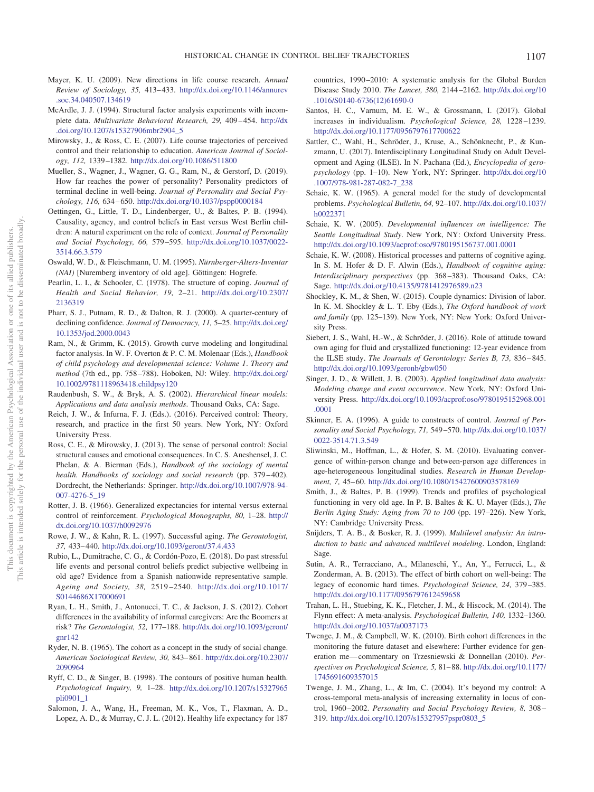- <span id="page-17-0"></span>Mayer, K. U. (2009). New directions in life course research. *Annual Review of Sociology, 35,* 413– 433. [http://dx.doi.org/10.1146/annurev](http://dx.doi.org/10.1146/annurev.soc.34.040507.134619) [.soc.34.040507.134619](http://dx.doi.org/10.1146/annurev.soc.34.040507.134619)
- <span id="page-17-29"></span>McArdle, J. J. (1994). Structural factor analysis experiments with incomplete data. *Multivariate Behavioral Research*, 29, 409-454. [http://dx](http://dx.doi.org/10.1207/s15327906mbr2904_5) [.doi.org/10.1207/s15327906mbr2904\\_5](http://dx.doi.org/10.1207/s15327906mbr2904_5)
- <span id="page-17-9"></span>Mirowsky, J., & Ross, C. E. (2007). Life course trajectories of perceived control and their relationship to education. *American Journal of Sociology, 112,* 1339 –1382. <http://dx.doi.org/10.1086/511800>
- <span id="page-17-24"></span>Mueller, S., Wagner, J., Wagner, G. G., Ram, N., & Gerstorf, D. (2019). How far reaches the power of personality? Personality predictors of terminal decline in well-being. *Journal of Personality and Social Psychology, 116,* 634 – 650. <http://dx.doi.org/10.1037/pspp0000184>
- <span id="page-17-30"></span>Oettingen, G., Little, T. D., Lindenberger, U., & Baltes, P. B. (1994). Causality, agency, and control beliefs in East versus West Berlin children: A natural experiment on the role of context. *Journal of Personality and Social Psychology, 66,* 579 –595. [http://dx.doi.org/10.1037/0022-](http://dx.doi.org/10.1037/0022-3514.66.3.579) [3514.66.3.579](http://dx.doi.org/10.1037/0022-3514.66.3.579)
- <span id="page-17-25"></span>Oswald, W. D., & Fleischmann, U. M. (1995). *Nürnberger-Alters-Inventar (NAI)* [Nuremberg inventory of old age]. Göttingen: Hogrefe.
- <span id="page-17-6"></span>Pearlin, L. I., & Schooler, C. (1978). The structure of coping. *Journal of Health and Social Behavior, 19,* 2–21. [http://dx.doi.org/10.2307/](http://dx.doi.org/10.2307/2136319) [2136319](http://dx.doi.org/10.2307/2136319)
- <span id="page-17-15"></span>Pharr, S. J., Putnam, R. D., & Dalton, R. J. (2000). A quarter-century of declining confidence. *Journal of Democracy, 11,* 5–25. [http://dx.doi.org/](http://dx.doi.org/10.1353/jod.2000.0043) [10.1353/jod.2000.0043](http://dx.doi.org/10.1353/jod.2000.0043)
- <span id="page-17-26"></span>Ram, N., & Grimm, K. (2015). Growth curve modeling and longitudinal factor analysis. In W. F. Overton & P. C. M. Molenaar (Eds.), *Handbook of child psychology and developmental science: Volume 1*. *Theory and method* (7th ed., pp. 758 –788). Hoboken, NJ: Wiley. [http://dx.doi.org/](http://dx.doi.org/10.1002/9781118963418.childpsy120) [10.1002/9781118963418.childpsy120](http://dx.doi.org/10.1002/9781118963418.childpsy120)
- <span id="page-17-27"></span>Raudenbush, S. W., & Bryk, A. S. (2002). *Hierarchical linear models: Applications and data analysis methods*. Thousand Oaks, CA: Sage.
- <span id="page-17-5"></span>Reich, J. W., & Infurna, F. J. (Eds.). (2016). Perceived control: Theory, research, and practice in the first 50 years. New York, NY: Oxford University Press.
- <span id="page-17-21"></span>Ross, C. E., & Mirowsky, J. (2013). The sense of personal control: Social structural causes and emotional consequences. In C. S. Aneshensel, J. C. Phelan, & A. Bierman (Eds.), *Handbook of the sociology of mental health. Handbooks of sociology and social research* (pp. 379 – 402). Dordrecht, the Netherlands: Springer. [http://dx.doi.org/10.1007/978-94-](http://dx.doi.org/10.1007/978-94-007-4276-5_19) [007-4276-5\\_19](http://dx.doi.org/10.1007/978-94-007-4276-5_19)
- <span id="page-17-7"></span>Rotter, J. B. (1966). Generalized expectancies for internal versus external control of reinforcement. *Psychological Monographs, 80,* 1–28. [http://](http://dx.doi.org/10.1037/h0092976) [dx.doi.org/10.1037/h0092976](http://dx.doi.org/10.1037/h0092976)
- <span id="page-17-10"></span>Rowe, J. W., & Kahn, R. L. (1997). Successful aging. *The Gerontologist, 37,* 433– 440. <http://dx.doi.org/10.1093/geront/37.4.433>
- <span id="page-17-23"></span>Rubio, L., Dumitrache, C. G., & Cordón-Pozo, E. (2018). Do past stressful life events and personal control beliefs predict subjective wellbeing in old age? Evidence from a Spanish nationwide representative sample. *Ageing and Society, 38,* 2519 –2540. [http://dx.doi.org/10.1017/](http://dx.doi.org/10.1017/S0144686X17000691) [S0144686X17000691](http://dx.doi.org/10.1017/S0144686X17000691)
- <span id="page-17-14"></span>Ryan, L. H., Smith, J., Antonucci, T. C., & Jackson, J. S. (2012). Cohort differences in the availability of informal caregivers: Are the Boomers at risk? *The Gerontologist, 52,* 177–188. [http://dx.doi.org/10.1093/geront/](http://dx.doi.org/10.1093/geront/gnr142)  $gnr142$
- <span id="page-17-1"></span>Ryder, N. B. (1965). The cohort as a concept in the study of social change. *American Sociological Review, 30,* 843– 861. [http://dx.doi.org/10.2307/](http://dx.doi.org/10.2307/2090964) [2090964](http://dx.doi.org/10.2307/2090964)
- <span id="page-17-11"></span>Ryff, C. D., & Singer, B. (1998). The contours of positive human health. *Psychological Inquiry, 9,* 1–28. [http://dx.doi.org/10.1207/s15327965](http://dx.doi.org/10.1207/s15327965pli0901_1) [pli0901\\_1](http://dx.doi.org/10.1207/s15327965pli0901_1)
- <span id="page-17-19"></span>Salomon, J. A., Wang, H., Freeman, M. K., Vos, T., Flaxman, A. D., Lopez, A. D., & Murray, C. J. L. (2012). Healthy life expectancy for 187

countries, 1990 –2010: A systematic analysis for the Global Burden Disease Study 2010. *The Lancet, 380,* 2144 –2162. [http://dx.doi.org/10](http://dx.doi.org/10.1016/S0140-6736%2812%2961690-0) [.1016/S0140-6736\(12\)61690-0](http://dx.doi.org/10.1016/S0140-6736%2812%2961690-0)

- <span id="page-17-12"></span>Santos, H. C., Varnum, M. E. W., & Grossmann, I. (2017). Global increases in individualism. *Psychological Science, 28,* 1228 –1239. <http://dx.doi.org/10.1177/0956797617700622>
- <span id="page-17-22"></span>Sattler, C., Wahl, H., Schröder, J., Kruse, A., Schönknecht, P., & Kunzmann, U. (2017). Interdisciplinary Longitudinal Study on Adult Development and Aging (ILSE). In N. Pachana (Ed.), *Encyclopedia of geropsychology* (pp. 1–10). New York, NY: Springer. [http://dx.doi.org/10](http://dx.doi.org/10.1007/978-981-287-082-7_238) [.1007/978-981-287-082-7\\_238](http://dx.doi.org/10.1007/978-981-287-082-7_238)
- <span id="page-17-2"></span>Schaie, K. W. (1965). A general model for the study of developmental problems. *Psychological Bulletin, 64,* 92–107. [http://dx.doi.org/10.1037/](http://dx.doi.org/10.1037/h0022371) [h0022371](http://dx.doi.org/10.1037/h0022371)
- <span id="page-17-20"></span>Schaie, K. W. (2005). *Developmental influences on intelligence: The Seattle Longitudinal Study*. New York, NY: Oxford University Press. <http://dx.doi.org/10.1093/acprof:oso/9780195156737.001.0001>
- <span id="page-17-17"></span>Schaie, K. W. (2008). Historical processes and patterns of cognitive aging. In S. M. Hofer & D. F. Alwin (Eds.), *Handbook of cognitive aging: Interdisciplinary perspectives* (pp. 368 –383). Thousand Oaks, CA: Sage. <http://dx.doi.org/10.4135/9781412976589.n23>
- <span id="page-17-18"></span>Shockley, K. M., & Shen, W. (2015). Couple dynamics: Division of labor. In K. M. Shockley & L. T. Eby (Eds.), *The Oxford handbook of work and family* (pp. 125–139). New York, NY: New York: Oxford University Press.
- <span id="page-17-33"></span>Siebert, J. S., Wahl, H.-W., & Schröder, J. (2016). Role of attitude toward own aging for fluid and crystallized functioning: 12-year evidence from the ILSE study. *The Journals of Gerontology: Series B, 73,* 836 – 845. <http://dx.doi.org/10.1093/geronb/gbw050>
- <span id="page-17-28"></span>Singer, J. D., & Willett, J. B. (2003). *Applied longitudinal data analysis: Modeling change and event occurrence*. New York, NY: Oxford University Press. [http://dx.doi.org/10.1093/acprof:oso/9780195152968.001](http://dx.doi.org/10.1093/acprof:oso/9780195152968.001.0001) [.0001](http://dx.doi.org/10.1093/acprof:oso/9780195152968.001.0001)
- <span id="page-17-8"></span>Skinner, E. A. (1996). A guide to constructs of control. *Journal of Personality and Social Psychology, 71,* 549 –570. [http://dx.doi.org/10.1037/](http://dx.doi.org/10.1037/0022-3514.71.3.549) [0022-3514.71.3.549](http://dx.doi.org/10.1037/0022-3514.71.3.549)
- <span id="page-17-31"></span>Sliwinski, M., Hoffman, L., & Hofer, S. M. (2010). Evaluating convergence of within-person change and between-person age differences in age-heterogeneous longitudinal studies. *Research in Human Development, 7,* 45– 60. <http://dx.doi.org/10.1080/15427600903578169>
- <span id="page-17-34"></span>Smith, J., & Baltes, P. B. (1999). Trends and profiles of psychological functioning in very old age. In P. B. Baltes & K. U. Mayer (Eds.), *The Berlin Aging Study: Aging from 70 to 100* (pp. 197–226). New York, NY: Cambridge University Press.
- <span id="page-17-32"></span>Snijders, T. A. B., & Bosker, R. J. (1999). *Multilevel analysis: An introduction to basic and advanced multilevel modeling*. London, England: Sage.
- <span id="page-17-4"></span>Sutin, A. R., Terracciano, A., Milaneschi, Y., An, Y., Ferrucci, L., & Zonderman, A. B. (2013). The effect of birth cohort on well-being: The legacy of economic hard times. *Psychological Science, 24,* 379 –385. <http://dx.doi.org/10.1177/0956797612459658>
- <span id="page-17-3"></span>Trahan, L. H., Stuebing, K. K., Fletcher, J. M., & Hiscock, M. (2014). The Flynn effect: A meta-analysis. *Psychological Bulletin, 140,* 1332–1360. <http://dx.doi.org/10.1037/a0037173>
- <span id="page-17-16"></span>Twenge, J. M., & Campbell, W. K. (2010). Birth cohort differences in the monitoring the future dataset and elsewhere: Further evidence for generation me— commentary on Trzesniewski & Donnellan (2010). *Perspectives on Psychological Science, 5,* 81– 88. [http://dx.doi.org/10.1177/](http://dx.doi.org/10.1177/1745691609357015) [1745691609357015](http://dx.doi.org/10.1177/1745691609357015)
- <span id="page-17-13"></span>Twenge, J. M., Zhang, L., & Im, C. (2004). It's beyond my control: A cross-temporal meta-analysis of increasing externality in locus of control, 1960 –2002. *Personality and Social Psychology Review, 8,* 308 – 319. [http://dx.doi.org/10.1207/s15327957pspr0803\\_5](http://dx.doi.org/10.1207/s15327957pspr0803_5)